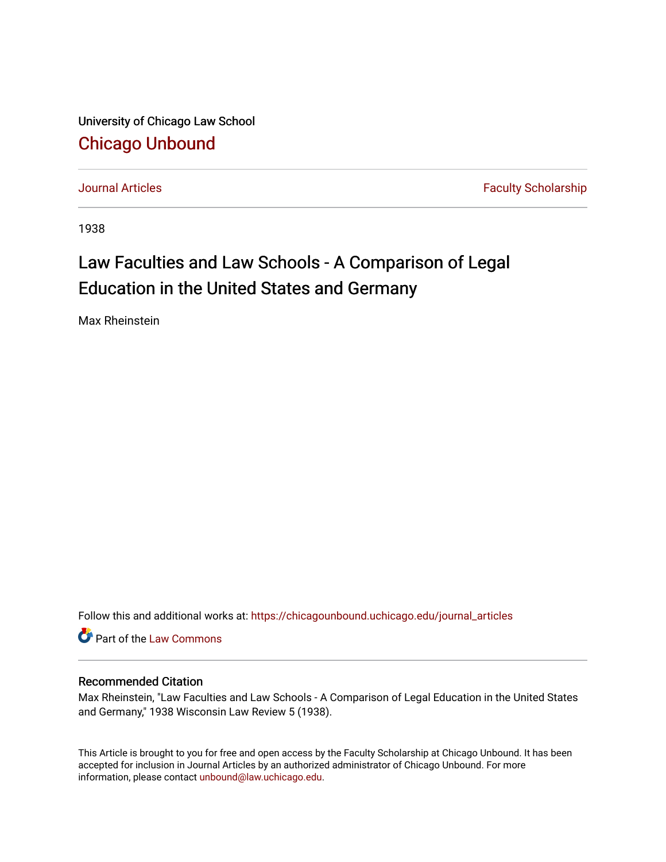University of Chicago Law School [Chicago Unbound](https://chicagounbound.uchicago.edu/)

[Journal Articles](https://chicagounbound.uchicago.edu/journal_articles) **Faculty Scholarship Journal Articles** 

1938

# Law Faculties and Law Schools - A Comparison of Legal Education in the United States and Germany

Max Rheinstein

Follow this and additional works at: [https://chicagounbound.uchicago.edu/journal\\_articles](https://chicagounbound.uchicago.edu/journal_articles?utm_source=chicagounbound.uchicago.edu%2Fjournal_articles%2F9216&utm_medium=PDF&utm_campaign=PDFCoverPages) 

Part of the [Law Commons](http://network.bepress.com/hgg/discipline/578?utm_source=chicagounbound.uchicago.edu%2Fjournal_articles%2F9216&utm_medium=PDF&utm_campaign=PDFCoverPages)

# Recommended Citation

Max Rheinstein, "Law Faculties and Law Schools - A Comparison of Legal Education in the United States and Germany," 1938 Wisconsin Law Review 5 (1938).

This Article is brought to you for free and open access by the Faculty Scholarship at Chicago Unbound. It has been accepted for inclusion in Journal Articles by an authorized administrator of Chicago Unbound. For more information, please contact [unbound@law.uchicago.edu](mailto:unbound@law.uchicago.edu).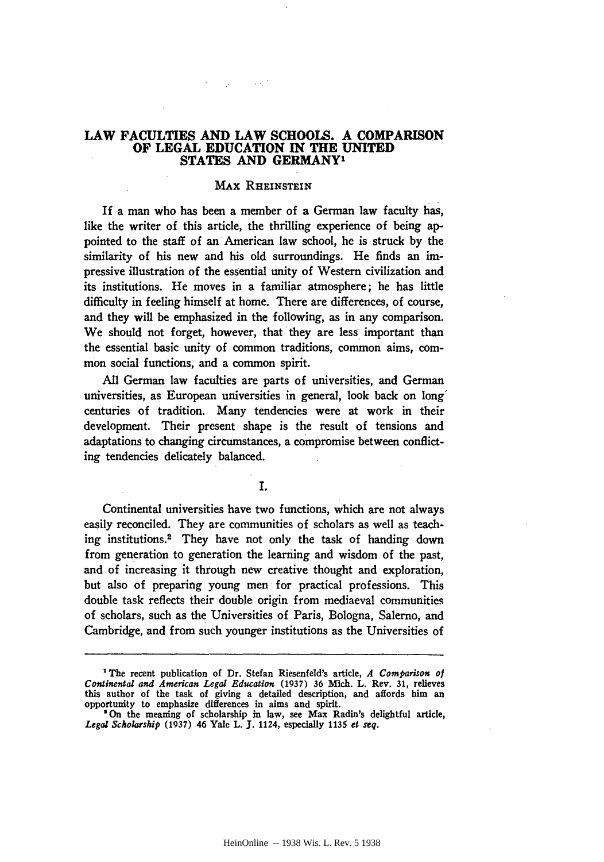# **LAW FACULTIES AND LAW SCHOOLS. A COMPARISON OF LEGAL EDUCATION IN THE UNITED STATES AND GERMANY'**

**Contract** 

#### **MAX RHEINSTEIN**

If a man who has been a member of a German law faculty has, like the writer of this article, the thrilling experience of being appointed to the staff of an American law school, he is struck **by** the similarity of his new and his old surroundings. He finds an **im**pressive illustration of the essential unity of Western civilization and its institutions. He moves in a familiar atmosphere; he has little difficulty in feeling himself at home. There are differences, of course, and they will be emphasized in the following, as in any comparison. We should not forget, however, that they are less important than the essential basic unity of common traditions, common aims, common social functions, and a common spirit.

**All** German law faculties are parts of universities, and German universities, as European universities in general, look back on long' centuries of tradition. Many tendencies were at work in their development. Their present shape is the result of tensions and adaptations to changing circumstances, a compromise between conflicting tendencies delicately balanced.

**I.**

Continental universities have two functions, which are not always easily reconciled. They are communities of scholars as well as teaching institutions.<sup>2</sup> They have not only the task of handing down from generation to generation the learning and wisdom of the past, and of increasing it through new creative thought and exploration, but also of preparing young men for practical professions. This double task reflects their double origin from mediaeval communities of scholars, such as the Universities of Paris, Bologna, Salerno, and Cambridge, and from such younger institutions as the Universities of

**<sup>1</sup>** The recent publication of Dr. Stefan Riesenfeld's article, *A Comparison of Continental and American Legal Education* (1937) **36** Mich. L. Rev. **31,** relieves this author of the task of giving a detailed description, and affords him an opportunity to emphasize differences in aims and spirit.

**<sup>&#</sup>x27;On** the meaning of scholarship in law, see Max Radin's delightful article, *Legal Scholarship* (1937) 46 Yale L. **J.** 1124, especially **1135** *et seq.*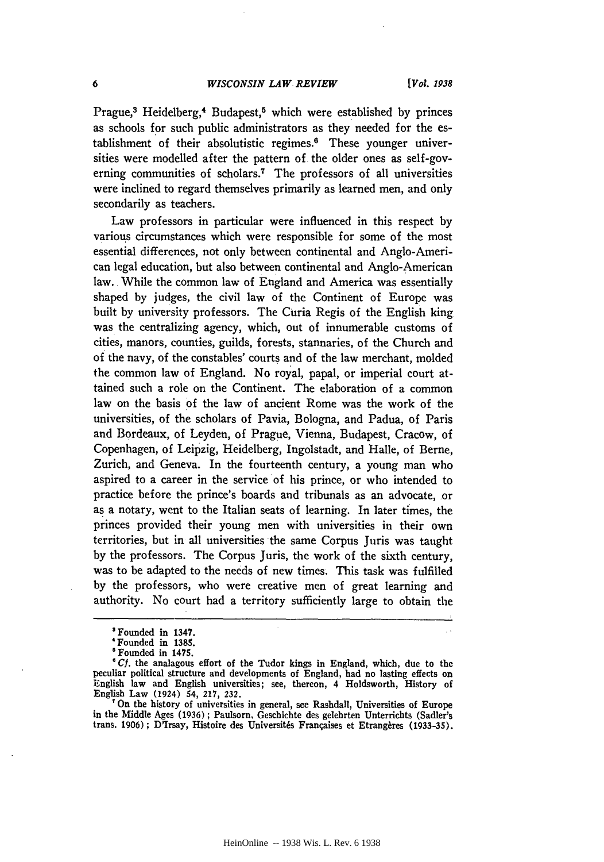Prague,<sup>3</sup> Heidelberg,<sup>4</sup> Budapest,<sup>5</sup> which were established by princes as schools for such public administrators as they needed for the establishment of their absolutistic regimes.6 These younger universities were modelled after the pattern of the older ones as self-governing communities of scholars.7 The professors of all universities were inclined to regard themselves primarily as learned men, and only secondarily as teachers.

Law professors in particular were influenced in this respect by various circumstances which were responsible for some of the most essential differences, not only between continental and Anglo-American legal education, but also between continental and Anglo-American law. While the common law of England and America was essentially shaped by judges, the civil law of the Continent of Europe was built by university professors. The Curia Regis of the English king was the centralizing agency, which, out of innumerable customs of cities, manors, counties, guilds, forests, stannaries, of the Church and of the navy, of the constables' courts and of the law merchant, molded the common law of England. No royal, papal, or imperial court attained such a role on the Continent. The elaboration of a common law on the basis of the law of ancient Rome was the work of the universities, of the scholars of Pavia, Bologna, and Padua, of Paris and Bordeaux, of Leyden, of Prague, Vienna, Budapest, Cracow, of Copenhagen, of Leipzig, Heidelberg, Ingolstadt, and Halle, of Berne, Zurich, and Geneva. In the fourteenth century, a young man who aspired to a career in the service of his prince, or who intended to practice before the prince's boards and tribunals as an advocate, or as a notary, went to the Italian seats of learning. In later times, the princes provided their young men with universities in their own territories, but in all universities the same Corpus Juris was taught by the professors. The Corpus Juris, the work of the sixth century, was to be adapted to the needs of new times. This task was fulfilled by the professors, who were creative men of great learning and authority. No court had a territory sufficiently large to obtain the

'On the history of universities in general, see Rashdall, Universities of Europe in the Middle Ages (1936) ; Paulsorn, Geschichte des gelehrten Unterrichts (Sadler's trans. 1906); D'Irsay, Histoire des Universités Françaises et Etrangères (1933-35).

<sup>&#</sup>x27;Founded in 1347.

<sup>&#</sup>x27;Founded in 1385.

<sup>&#</sup>x27;Founded in 1475.

*<sup>&#</sup>x27; Cf.* the analagous effort of the Tudor kings in England, which, due to the peculiar political structure and developments of England, had no lasting effects on English law and English universities; see, thereon, 4 Holdsworth, History of English Law (1924) 54, 217, 232.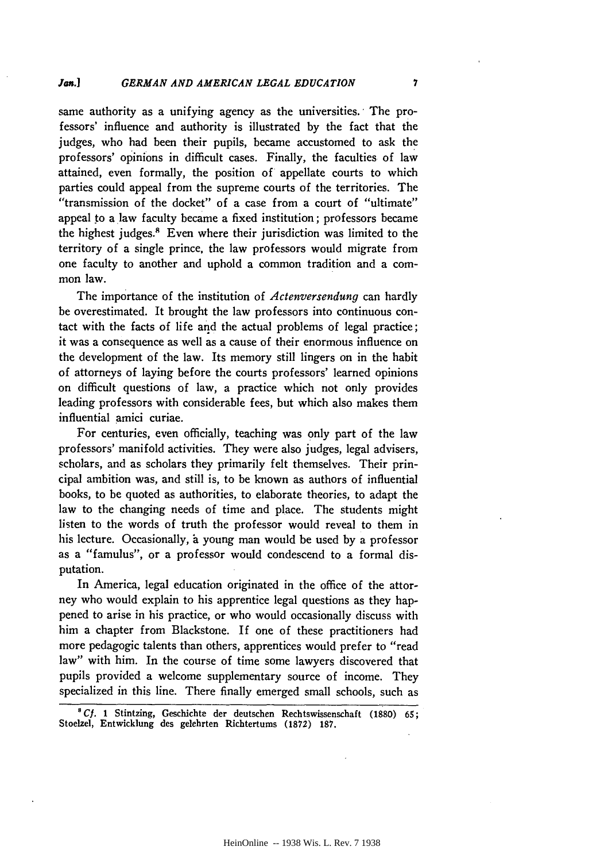same authority as a unifying agency as the universities. 'The professors' influence and authority is illustrated by the fact that the judges, who had been their pupils, became accustomed to ask the professors' opinions in difficult cases. Finally, the faculties of law attained, even formally, the position of appellate courts to which parties could appeal from the supreme courts of the territories. The "transmission of the docket" of a case from a court of "ultimate" appeal to a law faculty became a fixed institution; professors became the highest judges.<sup>8</sup> Even where their jurisdiction was limited to the territory of a single prince, the law professors would migrate from one faculty to another and uphold a common tradition and a common law.

The importance of the institution of *Actenversendung* can hardly be overestimated. It brought the law professors into continuous contact with the facts of life and the actual problems of legal practice; it was a consequence as well as a cause of their enormous influence on the development of the law. Its memory still lingers on in the habit of attorneys of laying before the courts professors' learned opinions on difficult questions of law, a practice which not only provides leading professors with considerable fees, but which also makes them influential amici curiae.

For centuries, even officially, teaching was only part of the law professors' manifold activities. They were also judges, legal advisers, scholars, and as scholars they primarily felt themselves. Their principal ambition was, and still is, to be known as authors of influential books, to be quoted as authorities, to elaborate theories, to adapt the law to the changing needs of time and place. The students might listen to the words of truth the professor would reveal to them in his lecture. Occasionally, a young man would be used by a professor as a "famulus", or a professor would condescend to a formal disputation.

In America, legal education originated in the office of the attorney who would explain to his apprentice legal questions as they happened to arise in his practice, or who would occasionally discuss with him a chapter from Blackstone. If one of these practitioners had more pedagogic talents than others, apprentices would prefer to "read law" with him. In the course of time some lawyers discovered that pupils provided a welcome supplementary source of income. They specialized in this line. There finally emerged small schools, such as

*8Cf.* 1 Stintzing, Geschichte der deutschen Rechtswissenschaft **(1880) 65;** Stoelzel, Entwicklung des gelehrten Richtertums **(1872) 187.**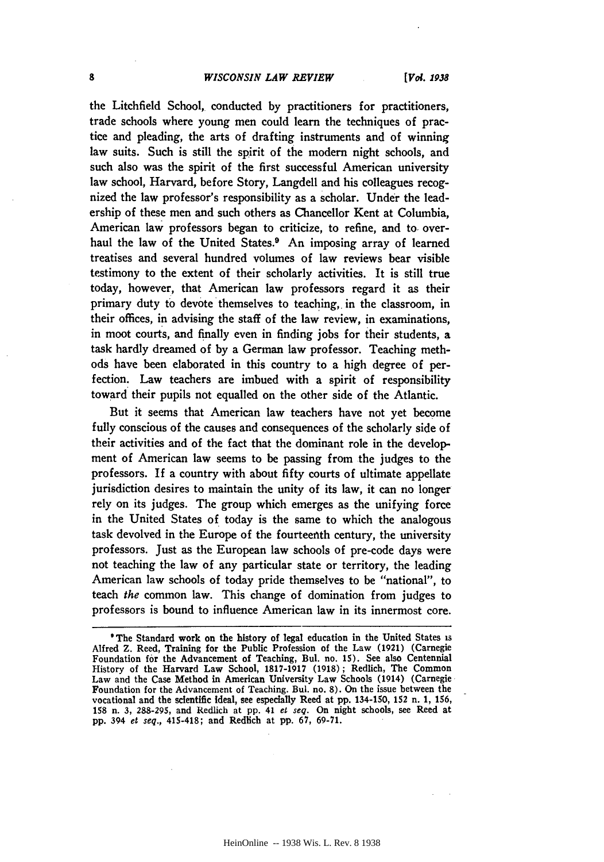#### *WISCONSIN LAW REVIEW*

the Litchfield School, conducted **by** practitioners for practitioners, trade schools where young men could learn the techniques of practice and pleading, the arts of drafting instruments and of winning law suits. Such is still the spirit of the modem night schools, and such also was the spirit of the first successful American university law school, Harvard, before Story, Langdell and his colleagues recognized the law professor's responsibility as a scholar. Under the leadership of these men and such others as Chancellor Kent at Columbia, American law professors began to criticize, to refine, and to, overhaul the law of the United States.<sup>9</sup> An imposing array of learned treatises and several hundred volumes of law reviews bear visible testimony to the extent of their scholarly activities. It is still true today, however, that American law professors regard it as their primary duty to devote themselves to teaching, in the classroom, in their offices, in advising the staff of the law review, in examinations, in moot courts, and finally even in finding jobs for their students, a task hardly dreamed of **by** a German law professor. Teaching methods have been elaborated in this country to a high degree of perfection. Law teachers are imbued with a spirit of responsibility toward their pupils not equalled on the other side of the Atlantic.

But it seems that American law teachers have not yet become fully conscious of the causes and consequences of the scholarly side of their activities and of the fact that the dominant role in the development of American law seems to be passing from the judges to the professors. If a country with about fifty courts of ultimate appellate jurisdiction desires to maintain the unity of its law, it can no longer rely on its judges. The group which emerges as the unifying force in the United States of today is the same to which the analogous task devolved in the Europe of the fourteenth century, the university professors. Just as the European law schools of pre-code days were not teaching the law of any particular state or territory, the leading American law schools of today pride themselves to be "national", to teach *the* common law. This change of domination from judges to professors is bound to influence American law in its innermost core.

<sup>&#</sup>x27;The Standard work on the history of legal education in the United States **is** Alfred Z. Reed, Training for the Public Profession of the Law **(1921)** (Carnegie Foundation for the Advancement of Teaching, Bul. no. **15).** See also Centennial History of the Harvard Law School, **1817-1917 (1918);** Redlich, The Common Law and the Case Method in American University Law Schools (1914) (Carnegie Foundation for the Advancement of Teaching. Bul. no. **8).** On the issue between the vocational and the scientific Ideal, see especially Reed at **pp.** 134-150, **152** n. **1, 156, 158** n. **3, 288-295,** and Redlich at **pp. 41** *et seq.* On night schools, see Reed at **pp.** 394 *et seq.,* 415-418; and Redlich at **pp. 67, 69-71.**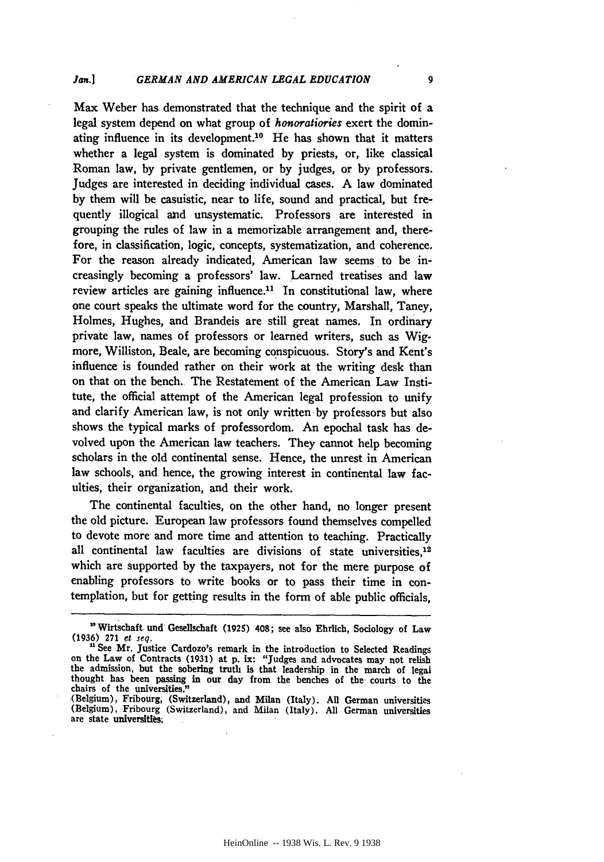Max Weber has demonstrated that the technique and the spirit of a legal system depend on what group of *honoratiories* exert the dominating influence in its development.<sup>10</sup> He has shown that it matters whether a legal system is dominated **by** priests, or, like classical Roman law, **by** private gentlemen, or **by** judges, or **by** professors. Judges are interested in deciding individual cases. **A** law dominated **by** them will be casuistic, near to life, sound and practical, but frequently illogical **and** unsystematic. Professors are interested in grouping the rules of law in a memorizable arrangement and, therefore, in classification, logic, concepts, systematization, and coherence. For the reason already indicated, American law seems to be increasingly becoming a professors' law. Learned treatises and law review articles are gaining influence.<sup>11</sup> In constitutional law, where one court speaks the ultimate word for the country, Marshall, Taney, Holmes, Hughes, and Brandeis are still great names. In ordinary private law, names of professors or learned writers, such as Wigmore, Williston, Beale, are becoming conspicuous. Story's and Kent's influence is founded rather on their work at the writing desk than on that on the bench. The Restatement of the American Law Institute, the official attempt of the American legal profession to unify and clarify American law, is not only written by professors but also shows the typical marks of professordom. An epochal task has devolved upon the American law teachers. They cannot help becoming scholars in the old continental sense. Hence, the unrest in American law schools, and hence, the growing interest in continental law faculties, their organization, and their work.

The continental faculties, on the other hand, no longer present the old picture. European law professors found themselves compelled to devote more and more time and attention to teaching. Practically all continental law faculties are divisions of state universities.<sup>12</sup> which are supported **by** the taxpayers, not for the mere purpose of enabling professors to write books or to pass their time in contemplation, but for getting results in the form of able public officials,

<sup>&</sup>lt;sup>20</sup> Wirtschaft und Gesellschaft (1925) 408; see also Ehrlich, Sociology of Law (1936) 271 et seq.

<sup>&</sup>lt;sup>11</sup> See Mr. Justice Cardozo's remark in the introduction to Selected Readings on the Law of Contracts (1931) at **p. ix:** "Judges and advocates may not relish the admission, but the sobering truth is that leadership in the march of legal thought has been passing in our day from the benches of the courts to the chairs of the universities.

<sup>(</sup>Belgium), Fribourg, (Switzerland), and Milan (Italy). All German universities (Belgium), Fribourg (Switzerland), and Milan (Italy). All German universities are state universities.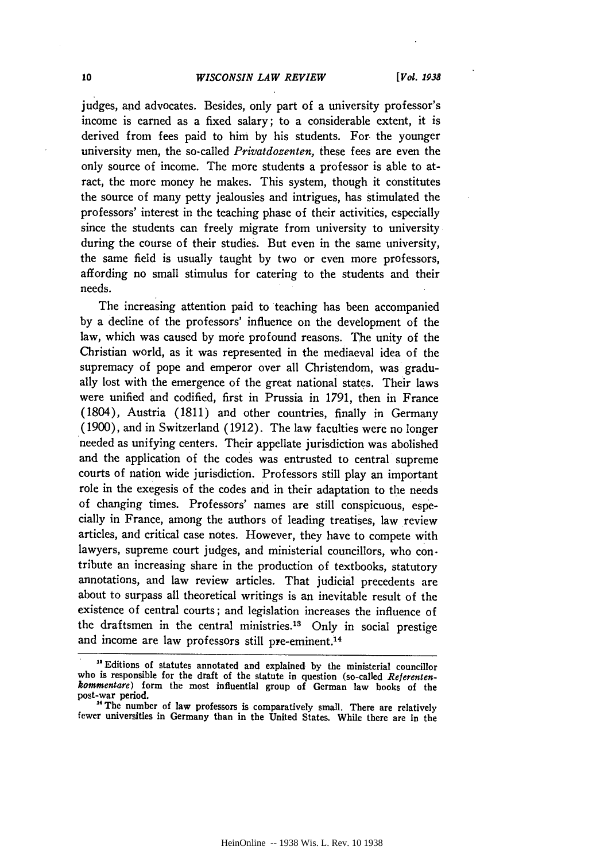#### *WISCONSIN LAW REVIEW*

judges, and advocates. Besides, only part of a university professor's income is earned as a fixed salary; to a considerable extent, it is derived from fees paid to him by his students. For the younger university men, the so-called *Privatdozenten,* these fees are even the only source of income. The more students a professor is able to atract, the more money he makes. This system, though it constitutes the source of many petty jealousies and intrigues, has stimulated the professors' interest in the teaching phase of their activities, especially since the students can freely migrate from university to university during the course of their studies. But even in the same university, the same field is usually taught by two or even more professors, affording no small stimulus for catering to the students and their needs.

The increasing attention paid to teaching has been accompanied by a decline of the professors' influence on the development of the law, which was caused by more profound reasons. The unity of the Christian world, as it was represented in the mediaeval idea of the supremacy of pope and emperor over all Christendom, was gradually lost with the emergence of the great national states. Their laws were unified and codified, first in Prussia in 1791, then in France (1804), Austria (1811) and other countries, finally in Germany (1900), and in Switzerland (1912). The law faculties were no longer needed as unifying centers. Their appellate jurisdiction was abolished and the application of the codes was entrusted to central supreme courts of nation wide jurisdiction. Professors still play an important role in the exegesis of the codes and in their adaptation to the needs of changing times. Professors' names are still conspicuous, especially in France, among the authors of leading treatises, law review articles, and critical case notes. However, they have to compete with lawyers, supreme court judges, and ministerial councillors, who contribute an increasing share in the production of textbooks, statutory annotations, and law review articles. That judicial precedents are about to surpass all theoretical writings is an inevitable result of the existence of central courts; and legislation increases the influence of the draftsmen in the central ministries.13 Only in social prestige and income are law professors still pre-eminent.<sup>14</sup>

<sup>&</sup>quot;Editions of statutes annotated and explained by the ministerial councillor who is responsible for the draft of the statute in question (so-called *Referenten- kommentare*) form the most influential group of German law books of the post-war period.

<sup>&</sup>lt;sup>14</sup> The number of law professors is comparatively small. There are relatively fewer universities in Germany than in the United States. While there are in the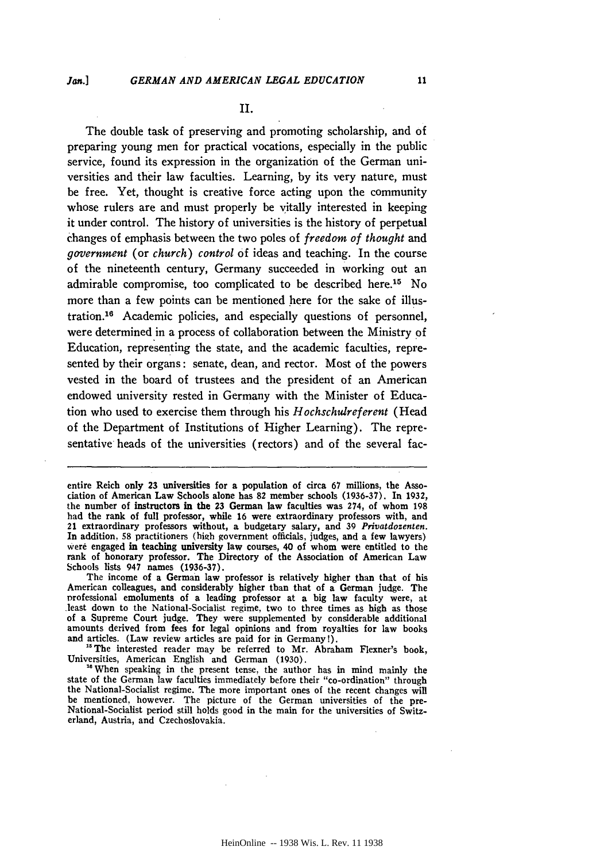11

#### **II.**

The double task of preserving and promoting scholarship, and of preparing young men for practical vocations, especially in the public service, found its expression in the organization of the German universities and their law faculties. Learning, **by** its very nature, must be free. Yet, thought is creative force acting upon the community whose rulers are and must properly be vitally interested in keeping it under control. The history of universities is the history of perpetual changes of emphasis between the two poles of *freedom of thought* and *government* (or *church) control* of ideas and teaching. In the course of the nineteenth century, Germany succeeded in working out an admirable compromise, too complicated to be described here.15 No more than a few points can be mentioned here for the sake of illustration.16 Academic policies, and especially questions of personnel, were determined in a process of collaboration between the Ministry of Education, representing the state, and the academic faculties, represented by their organs: senate, dean, and rector. Most of the powers vested in the board of trustees and the president of an American endowed university rested in Germany with the Minister of Education who used to exercise them through his *Hochschulreferent* (Head of the Department of Institutions of Higher Learning). The representative heads of the universities (rectors) and of the several fac-

entire Reich only **23** universities for a population of circa **67** millions, the Association of American Law Schools alone has **82** member schools **(1936-37).** In **1932,** the number of instructors in the **23** German law faculties was 274, of whom **198** had the rank of full professor, while **16** were extraordinary professors with, and 21 extraordinary professors without, a budgetary salary, and **39** *Privatdozenten.* In addition, **58** practitioners **(high** government officials, judges, and a few lawyers) were engaged in teaching university law courses, 40 of whom were entitled to the rank of honorary professor. The Directory of the Association of American Law Schools lists 947 names **(1936-37).**

The income of a German law professor is relatively higher than that of his American colleagues, and considerably higher than that of a German judge. The vrofessional emoluments of a leading professor at a big law faculty were, at .least down to the National-Socialist regime, two to three times as high as those of a Supreme Court judge. They were supplemented **by** considerable additional amounts derived from fees for legal opinions and from royalties for law books and articles. (Law review articles are paid for in Germany!).

<sup>&</sup>lt;sup>15</sup> The interested reader may be referred to Mr. Abraham Flexner's book, Universities, American English and German **(1930).**

<sup>&</sup>lt;sup>16</sup> When speaking in the present tense, the author has in mind mainly the state of the German law faculties immediately before their "co-ordination" through the National-Socialist regime. The more important ones of the recent changes will be mentioned, however. The picture of the German universities of the pre-National-Socialist period still holds good in the main for the universities of Switzerland, Austria, and Czechoslovakia.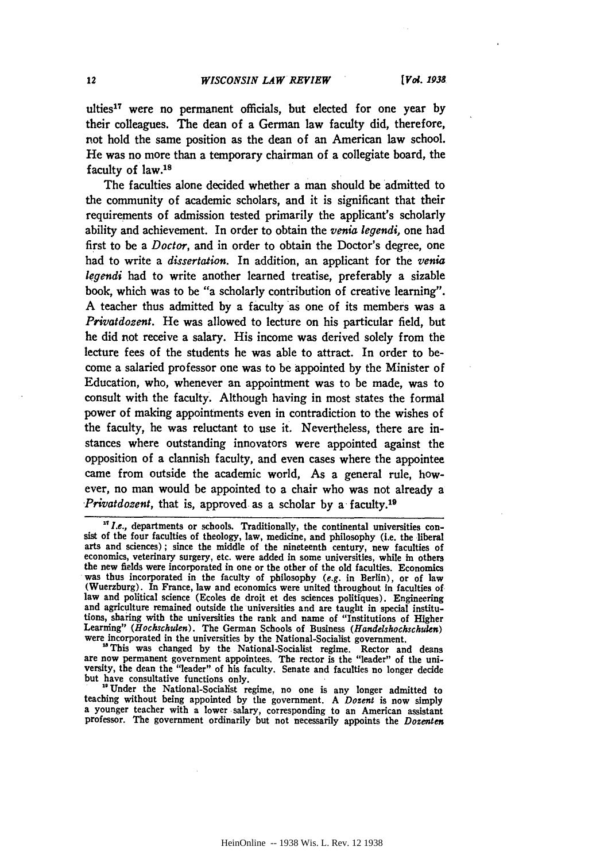ulties 17 were no permanent officials, but elected for one year **by** their colleagues. The dean of a German law faculty did, therefore, not hold the same position as the dean of an American law school. He was no more than a temporary chairman of a collegiate board, the faculty of law.<sup>18</sup>

The faculties alone decided whether a man should be admitted to the community of academic scholars, and it is significant that their requirements of admission tested primarily the applicant's scholarly ability and achievement. In order to obtain the *venia legendi,* one had first to be a *Doctor,* and in order to obtain the Doctor's degree, one had to write a *dissertation.* In addition, an applicant for the *venia legendi* had to write another learned treatise, preferably a sizable book, which was to be "a scholarly contribution of creative learning". **A** teacher thus admitted **by** a faculty as one of its members was a *Privatdozent.* He was allowed to lecture on his particular field, but he did not receive a salary. His income was derived solely from the lecture fees of the students he was able to attract. In order to become a salaried professor one was to be appointed **by** the Minister of Education, who, whenever an appointment was to be made, was to consult with the faculty. Although having in most states the formal power of making appointments even in contradiction to the wishes of the faculty, he was reluctant to use it. Nevertheless, there are instances where outstanding innovators were appointed against the opposition of a clannish faculty, and even cases where the appointee came from outside the academic world, As a general rule, however, no man would be appointed to a chair who was not already a *Privatdozent,* that is, approved as a scholar by a faculty.<sup>19</sup>

*<sup>&</sup>quot;L.e.,* departments or schools. Traditionally, the continental universities consist of the four faculties of theology, law, medicine, and philosophy (i.e. the liberal arts and sciences) **;** since the middle of the nineteenth century, new faculties of economics, veterinary surgery, etc. were added in some universities, while in others the new fields were incorporated in one or the other of the old faculties. Economics was thus incorporated in the faculty of philosophy (e.g. in Berlin), or of law (Wuerzburg). In France, law and economics were united throughout in faculties of law and political science (Ecoles de droit et des sciences politiques). Engineering and agriculture remained outside the universities and are taught in special institu-<br>tions, sharing with the universities the rank and name of "Institutions of Higher

Learning" (Hockschulen). The German Schools of Business (Handelshockschulen) were incorporated in the universities by the National-Socialist government.<br>"This was changed by the National-Socialist regime. Rector and deans versity, the dean the "leader" of his faculty. Senate and faculties no longer decide but have consultative functions only. " Under the National-Socialist regime, no one is any longer admitted to

teaching without being appointed **by** the government. **A** *Dozent* is now simply a younger teacher with a lower salary, corresponding to an American assistant a younger teacher with a lower salary, corresponding to an American assistant professor. The government ordinarily but not necessarily appoints the *Dozenten*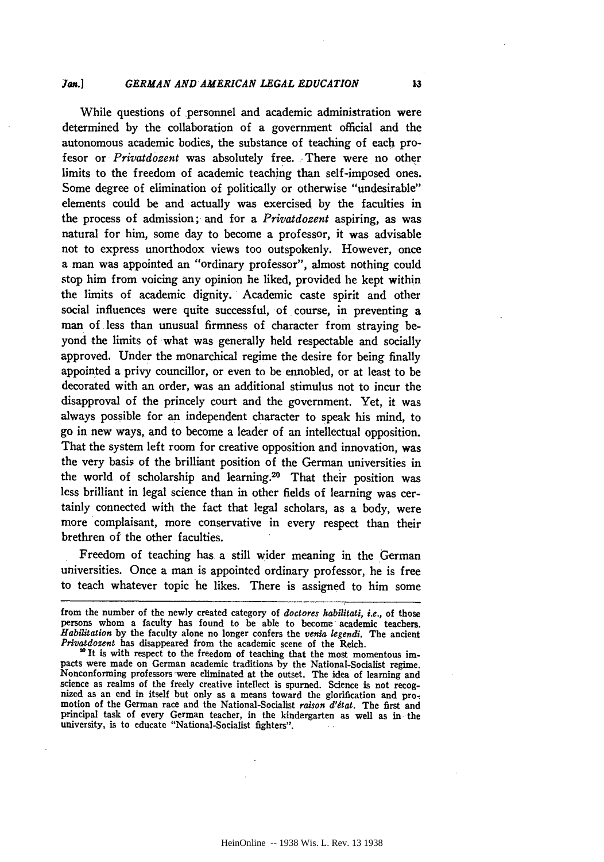#### *GERMAN AND AMERICAN LEGAL EDUCATION Jan.]*

While questions of personnel and academic administration were determined **by** the collaboration of a government official and the autonomous academic bodies, the substance of teaching of each profesor or *Privatdozent* was absolutely free. There were no other limits to the freedom of academic teaching than self-imposed ones. Some degree of elimination of politically or otherwise "undesirable" elements could be and actually was exercised **by** the faculties in the process of admission; and for a *Privatdozent* aspiring, as was natural for him, some day to become a professor, it was advisable not to express unorthodox views too outspokenly. However, once a man was appointed an "ordinary professor", almost nothing could stop him from voicing any opinion he liked, provided he kept within the limits of academic dignity. Academic caste spirit and other social influences were quite successful, of course, in preventing a man of less than unusual firmness of character from straying beyond the limits of what was generally held respectable and socially approved. Under the monarchical regime the desire for being finally appointed a privy councillor, or even to be ennobled, or at least to be decorated with an order, was an additional stimulus not to incur the disapproval of the princely court and the government. Yet, it was always possible for an independent character to speak his mind, to go in new ways, and to become a leader of an intellectual opposition. That the system left room for creative opposition and innovation, was the very basis of the brilliant position of the German universities in the world of scholarship and learning.20 That their position was less brilliant in legal science than in other fields of learning was certainly connected with the fact that legal scholars, as a body, were more complaisant, more conservative in every respect than their brethren of the other faculties.

Freedom of teaching has a still wider meaning in the German universities. Once a man is appointed ordinary professor, he is free to teach whatever topic he likes. There is assigned to him some

from the number of the newly created category of *doctores habilitati, i.e.,* of those persons whom a faculty has found to be able to become academic teachers. *Habilitation* **by** the faculty alone no longer confers the *venia legendi.* The ancient *Privatdozent* has disappeared from the academic scene of the Reich.

<sup>20</sup> It is with respect to the freedom of teaching that the most momentous impacts were made on German academic traditions **by** the National-Socialist regime. Nonconforming professors 'were eliminated at the outset. The idea of learning and nized as an end in itself but only as a means toward the glorification and promotion of the German race and the National-Socialist raison  $d'$ état. The first and principal task of every German teacher, in the kindergarten as well as in the university, is to educate "National-Socialist fighters".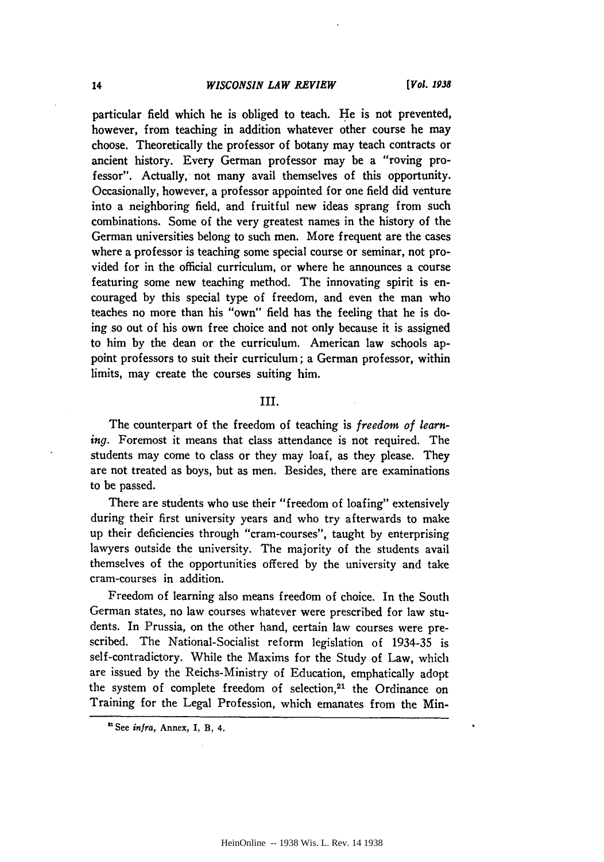#### *WISCONSIN LAW REVIEW*

particular field which he is obliged to teach. He is not prevented, however, from teaching in addition whatever other course he may choose. Theoretically the professor of botany may teach contracts or ancient history. Every German professor may be a "roving professor". Actually, not many avail themselves of this opportunity. Occasionally, however, a professor appointed for one field did venture into a neighboring field, and fruitful new ideas sprang from such combinations. Some of the very greatest names in the history of the German universities belong to such men. More frequent are the cases where a professor is teaching some special course or seminar, not provided for in the official curriculum, or where he announces a course featuring some new teaching method. The innovating spirit is encouraged **by** this special type of freedom, and even the man who teaches no more than his "own" field has the feeling that he is **do**ing so out of his own free choice and not only because it is assigned to him **by** the dean or the curriculum. American law schools appoint professors to suit their curriculum; a German professor, within limits, may create the courses suiting him.

#### **III.**

The counterpart of the freedom of teaching is *freedom of learning.* Foremost it means that class attendance is not required. The students may come to class or they may loaf, as they please. They are not treated as boys, but as men. Besides, there are examinations to be passed.

There are students who use their "freedom of loafing" extensively during their first university years and who try afterwards to make up their deficiencies through "cram-courses", taught **by** enterprising lawyers outside the university. The majority of the students avail themselves of the opportunities offered **by** the university and take cram-courses in addition.

Freedom of learning also means freedom of choice. In the South German states, no law courses whatever were prescribed for law students. In Prussia, on the other hand, certain law courses were prescribed. The National-Socialist reform legislation of 1934-35 is self-contradictory. While the Maxims for the Study of Law, which are issued **by** the Reichs-Ministry of Education, emphatically adopt the system of complete freedom of selection,<sup>21</sup> the Ordinance on Training for the Legal Profession, which emanates from the Min-

<sup>&#</sup>x27;See *infra,* Annex, **I,** B, 4.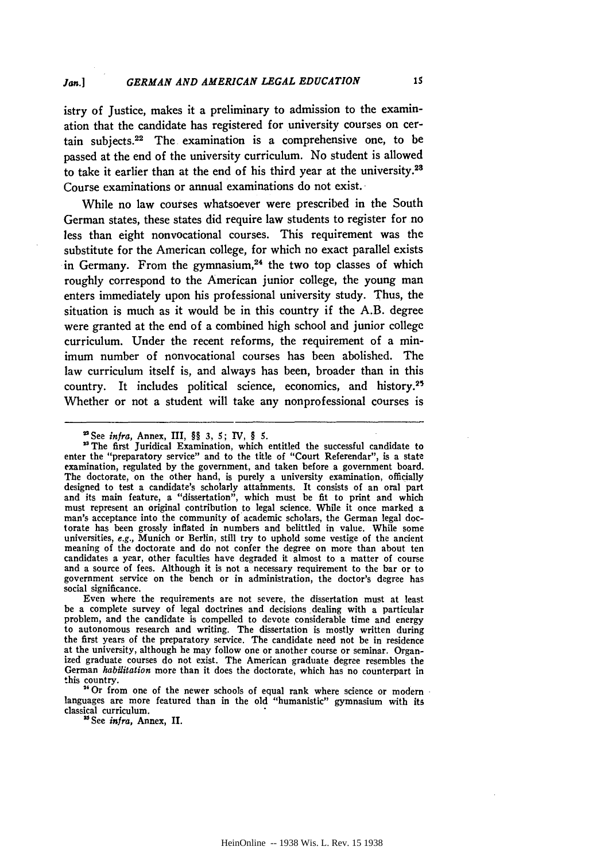istry of Justice, makes it a preliminary to admission to the examination that the candidate has registered for university courses on certain subjects. $22$  The examination is a comprehensive one, to be passed at the end of the university curriculum. No student is allowed to take it earlier than at the end of his third year at the university. <sup>28</sup> Course examinations or annual examinations do not exist.

While no law courses whatsoever were prescribed in the South German states, these states did require law students to register for no less than eight nonvocational courses. This requirement was the substitute for the American college, for which no exact parallel exists in Germany. From the gymnasium, $24$  the two top classes of which roughly correspond to the American junior college, the young man enters immediately upon his professional university study. Thus, the situation is much as it would be in this country if the A.B. degree were granted at the end of a combined high school and junior college curriculum. Under the recent reforms, the requirement of a minimum number of nonvocational courses has been abolished. The law curriculum itself is, and always has been, broader than in this country. It includes political science, economics, and history.<sup>25</sup> Whether or not a student will take any nonprofessional courses is

Even where the requirements are not severe, the dissertation must at least be a complete survey of legal doctrines and decisions dealing with a particular problem, and the candidate is compelled to devote considerable time and energy to autonomous research and writing. The dissertation is mostly written during the first years of the preparatory service. The candidate need not be in residence at the university, although he may follow one or another course or seminar. Organized graduate courses do not exist. The American graduate degree resembles the German *habiitation* more than it does the doctorate, which has no counterpart in this country.

<sup>4</sup>Or from one of the newer schools of equal rank where science or modern languages are more featured than in the old "humanistic" gymnasium with its classical curriculum.

**"** See *infra,* Annex, **I.**

<sup>\*&#</sup>x27;See *infra,* Annex, III, §§ **3, 5;** IV, **§** *5.*

<sup>&</sup>lt;sup>23</sup> The first Juridical Examination, which entitled the successful candidate to enter the "preparatory service" and to the title of "Court Referendar", is a state examination, regulated by the government, and taken before a government board. The doctorate, on the other hand, is purely a university examination, officially designed to test a candidate's scholarly attainments. It consists of an oral part and its main feature, a "dissertation", which must be fit to print and which must represent an original contribution to legal science. While it once marked a man's acceptance into the community of academic scholars, the German legal doctorate has been grossly inflated in numbers and belittled in value. While some universities, e.g., Munich or Berlin, still try to uphold some vestige of the ancient meaning of the doctorate and do not confer the degree on more than about ten candidates a year, other faculties have degraded it almost to a matter of course and a source of fees. Although it is not a necessary requirement to the bar or to government service on the bench or in administration, the doctor's degree has social significance.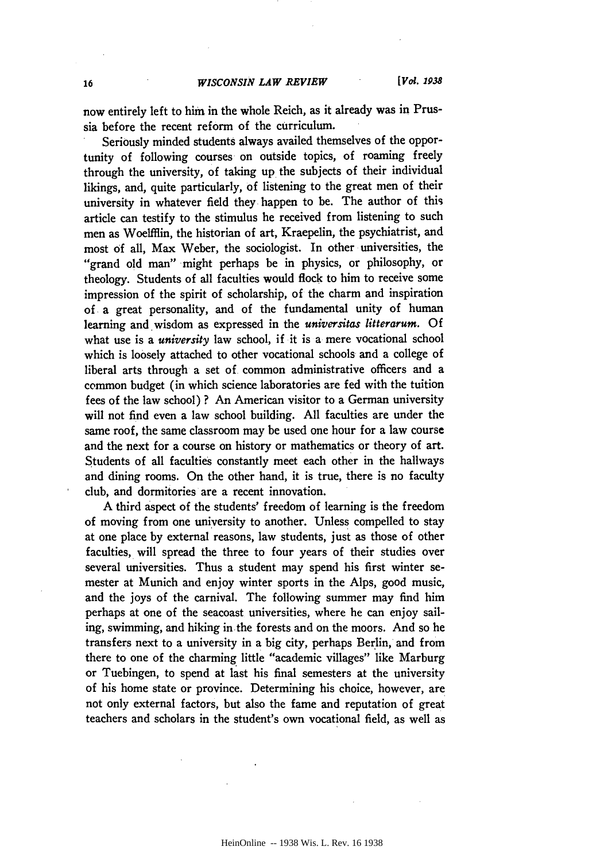now entirely left to him in the whole Reich, as it already was in Prussia before the recent reform of the curriculum.

Seriously minded students always availed themselves of the opportunity of following courses on outside topics, of roaming freely through the university, of taking up the subjects of their individual likings, and, quite particularly, of listening to the great men of their university in whatever field they happen to be. The author of this article can testify to the stimulus he received from listening to such men as Woelffiin, the historian of art, Kraepelin, the psychiatrist, and most **of** all, Max Weber, the sociologist. In other universities, the "grand old man" might perhaps be in physics, or philosophy, or theology. Students of all faculties would flock to him to receive some impression of the spirit of scholarship, of the charm and inspiration of a great personality, and of the fundamental unity of human learning and wisdom as expressed in the *universitas litterarum.* **Of** what use is a *university* law school, if it is a mere vocational school which is loosely attached to other vocational schools and a college of liberal arts through a set of common administrative officers and a common budget (in which science laboratories are fed with the tuition fees of the law school) **?** An American visitor to a German university will not find even a law school building. **All** faculties are under the same roof, the same classroom may be used one hour for a law course and the next for a course on history or mathematics or theory of art. Students of all faculties constantly meet each other in the hallways and dining rooms. On the other hand, it is true, there is no faculty club, and dormitories are a recent innovation.

**A** third aspect of the students' freedom of learning is the freedom of moving from one university to another. Unless compelled to stay at one place **by** external reasons, law students, just as those of other faculties, will spread the three to four years of their studies over several universities. Thus a student may spend his first winter semester at Munich and enjoy winter sports in the Alps, good music, and the joys of the carnival. The following summer may find him perhaps at one of the seacoast universities, where he can enjoy sailing, swimming, and hiking in the forests and on the moors. And so he transfers next to a university in a big city, perhaps Berlin, and from there to one of the charming little "academic villages" like Marburg or Tuebingen, to spend at last his final semesters at the university of his home state or province. Determining his choice, however, are not only external factors, but also the fame and reputation of great teachers and scholars in the student's own vocational field, as well as

16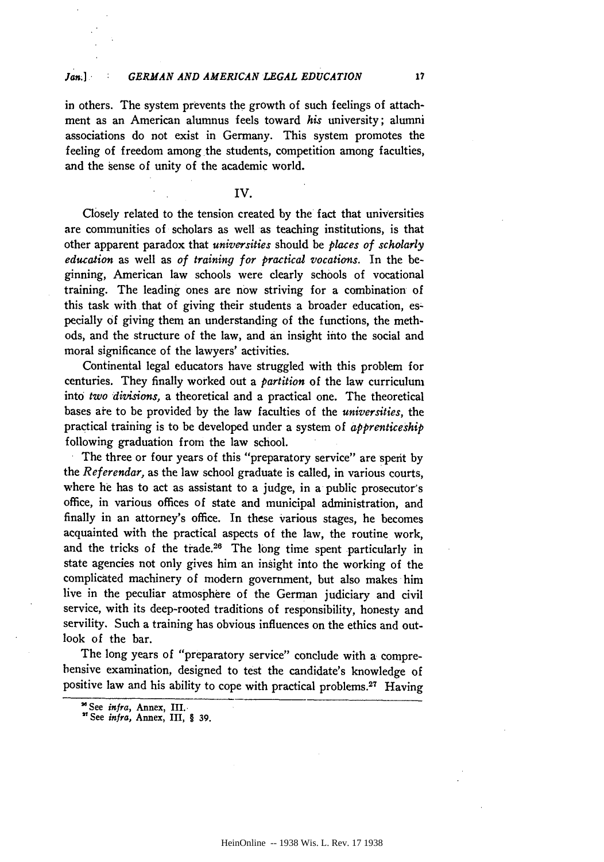in others. The system prevents the growth of such feelings of attachment as an American alumnus feels toward *his* university; alumni associations do not exist in Germany. This system promotes the feeling of freedom among the students, competition among faculties, and the sense of unity of the academic world.

#### IV.

Closely related to the tension created by the fact that universities are communities of scholars as well as teaching institutions, is that other apparent paradox that *universities* should be *places of scholarly education* as well as *of training for practical vocations.* In the beginning, American law schools were clearly schools of vocational training. The leading ones are now striving for a combination of this task with that of giving their students a broader education, especially of giving them an understanding of the functions, the methods, and the structure of the law, and an insight into the social and moral significance of the lawyers' activities.

Continental legal educators have struggled with this problem for centuries. They finally worked out a *partition* of the law curriculum into *two divisions,* a theoretical and a practical one. The theoretical bases are to be provided **by** the law faculties of the *universities,* the practical training is to be developed under a system of *apprenticeship* following graduation from the law school.

The three or four years of this "preparatory service" are spent **by** the *Referendar,* as the law school graduate is called, in various courts, where he has to act as assistant to a judge, in a public prosecutor's office, in various offices of state and municipal administration, and finally in an attorney's office. In these various stages, he becomes acquainted with the practical aspects of the law, the routine work, and the tricks of the trade.26 The long time spent particularly in state agencies not only gives him an insight into the working of the complicated machinery of modern government, but also makes him live in the peculiar atmosphere of the German judiciary and civil service, with its deep-rooted traditions of responsibility, honesty and servility. Such a training has obvious influences on the ethics and outlook of the bar.

The long years of "preparatory service" conclude with a comprehensive examination, designed to test the candidate's knowledge of positive law and his ability to cope with practical problems.<sup>27</sup> Having

 $17$ 

<sup>&</sup>quot;See *infra,* **Annex,** III.-

**<sup>&</sup>quot;See** *infra,* **Annex, III,** § **39.**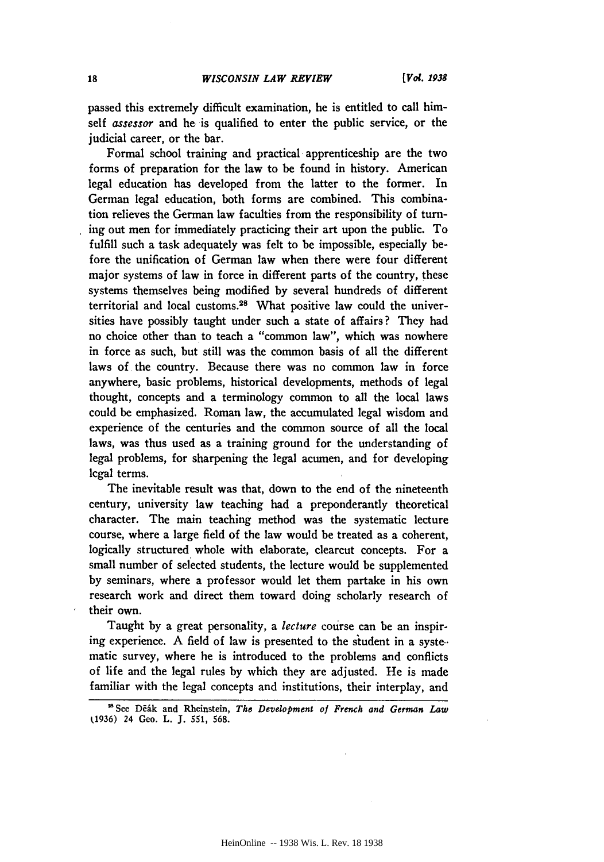passed this extremely difficult examination, he is entitled to call himself *assessor* and he is qualified to enter the public service, or the judicial career, or the bar.

Formal school training and practical apprenticeship are the two forms of preparation for the law to be found in history. American legal education has developed from the latter to the former. In German legal education, both forms are combined. This combination relieves the German law faculties from the responsibility of turning out men for immediately practicing their art upon the public. To fulfill such a task adequately was felt to be impossible, especially before the unification of German law when there were four different major systems of law in force in different parts of the country, these systems themselves being modified by several hundreds of different territorial and local customs. 28 What positive law could the universities have possibly taught under such a state of affairs? They had no choice other than to teach a "common law", which was nowhere in force as such, but still was the common basis of all the different laws of the country. Because there was no common law in force anywhere, basic problems, historical developments, methods of legal thought, concepts and a terminology common to all the local laws could be emphasized. Roman law, the accumulated legal wisdom and experience of the centuries and the common source of all the local laws, was thus used as a training ground for the understanding of legal problems, for sharpening the legal acumen, and for developing lcgal terms.

The inevitable result was that, down to the end of the nineteenth century, university law teaching had a preponderantly theoretical character. The main teaching method was the systematic lecture course, where a large field of the law would be treated as a coherent, logically structured whole with elaborate, clearcut concepts. For a small number of selected students, the lecture would be supplemented by seminars, where a professor would let them partake in his own research work and direct them toward doing scholarly research of their own.

Taught by a great personality, a *lecture* course can be an inspiring experience. **A** field of law is presented to the student in a syste.. matic survey, where he is introduced to the problems and conflicts of life and the legal rules by which they are adjusted. He is made familiar with the legal concepts and institutions, their interplay, and

<sup>&</sup>quot;See DEhk and Rheinstein, *The Development of French and German Law* 1936) 24 Geo. L. J. 551, 568.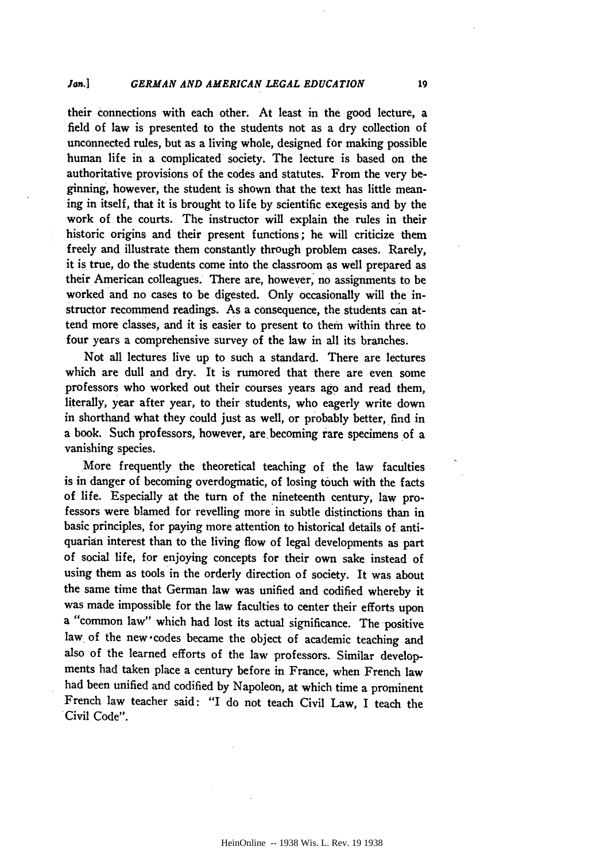#### *Jan.] GERMAN AND AMERICAN LEGAL EDUCATION* **19**

their connections with each other. At least in the good lecture, a **field** of law is presented to the students not as a dry collection of unconnected rules, but as a living whole, designed **for** making possible human life in a complicated society. The lecture is based on the authoritative provisions of the codes and statutes. From the very beginning, however, the student is shown that the text has little meaning in itself, that it is brought to life **by** scientific exegesis and **by** the work of the courts. The instructor will explain the rules in their historic origins and their present functions; he will criticize them freely and illustrate them constantly through problem cases. Rarely, it is true, do the students come into the classroom as well prepared as their American colleagues. There are, however, no assignments to be worked and no cases to be digested. Only occasionally will the instructor recommend readings. As a consequence, the students can attend more classes, and it is easier to present to them within three to four years a comprehensive survey of the law in all its branches.

Not all lectures live up to such a standard. There are lectures which are dull and dry. It is rumored that there are even some professors who worked out their courses years ago and read them, literally, year after year, to their students, who eagerly write down in shorthand what they could just as well, or probably better, find in a book. Such professors, however, are becoming rare specimens of a vanishing species.

More frequently the theoretical teaching of the law faculties is in danger of becoming overdogmatic, of losing touch with the facts of life. Especially at the turn of the nineteenth century, law professors were blamed for revelling more in subtle distinctions than in basic principles, for paying more attention to historical details of antiquarian interest than to the living flow of legal developments as part of social life, for enjoying concepts for their own sake instead of using them as tools in the orderly direction of society. It was about the same time that German law was unified and codified whereby it was made impossible for the law faculties to center their efforts upon a "common law" which had lost its actual significance. The positive law of the new codes became the object of academic teaching and also of the learned efforts of the law professors. Similar developments had taken place a century before in France, when French law had been unified and codified **by** Napoleon, at which time a prominent French law teacher said: "I do not teach Civil Law, I teach the Civil Code".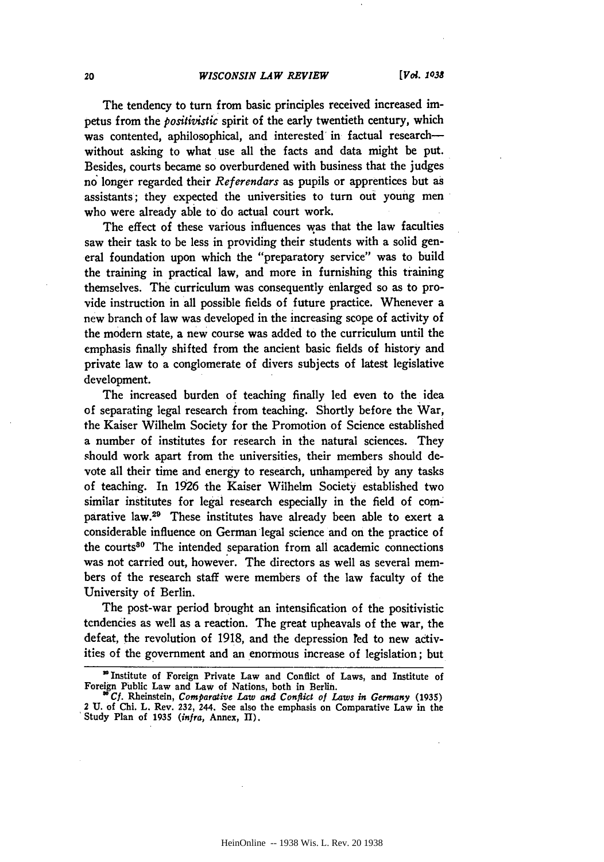The tendency to turn from basic principles received increased impetus from the *positivistic* spirit of the early twentieth century, which was contented, aphilosophical, and interested in factual researchwithout asking to what use all the facts and data might be put. Besides, courts became so overburdened with business that the judges no longer regarded their *Referendars* as pupils or apprentices but as assistants; they expected the universities to turn out young men who were already able to do actual court work.

The effect of these various influences was that the law faculties saw their task to be less in providing their students with a solid general foundation upon which the "preparatory service" was to build the training in practical law, and more in furnishing this training themselves. The curriculum was consequently enlarged so as to provide instruction in all possible fields of future practice. Whenever a new branch of law was developed in the increasing scope of activity of the modern state, a new course was added to the curriculum until the emphasis finally shifted from the ancient basic fields of history and private law to a conglomerate of divers subjects of latest legislative development.

The increased burden of teaching finally led even to the idea of separating legal research from teaching. Shortly before the War, the Kaiser Wilhelm Society for the Promotion of Science established a number of institutes for research in the natural sciences. They should work apart from the universities, their members should devote all their time and energy to research, unhampered **by** any tasks of teaching. In 1926 the Kaiser Wilhelm Society established two similar institutes for legal research especially in the field of comparative law.29 These institutes have already been able to exert a considerable influence on German legal science and on the practice of the courts<sup>30</sup> The intended separation from all academic connections was not carried out, however. The directors as well as several members of the research staff were members of the law faculty of the University of Berlin.

The post-war period brought an intensification of the positivistic tendencies as well as a reaction. The great upheavals of the war, the defeat, the revolution of 1918, and the depression red to new activities of the government and an enormous increase of legislation; but

Institute of Foreign Private Law and Conflict of Laws, and Institute of Foreign Public Law and Law of Nations, both in Berlin.

*<sup>&</sup>quot;Cf.* Rheinstein, *Comparative Law and Conflict of Laws in Germany* (1935) 2 **U.** of Chi. L. Rev. **232,** 244. See also the emphasis on Comparative Law in the 'Study Plan of **1935** *(infra,* Annex, II).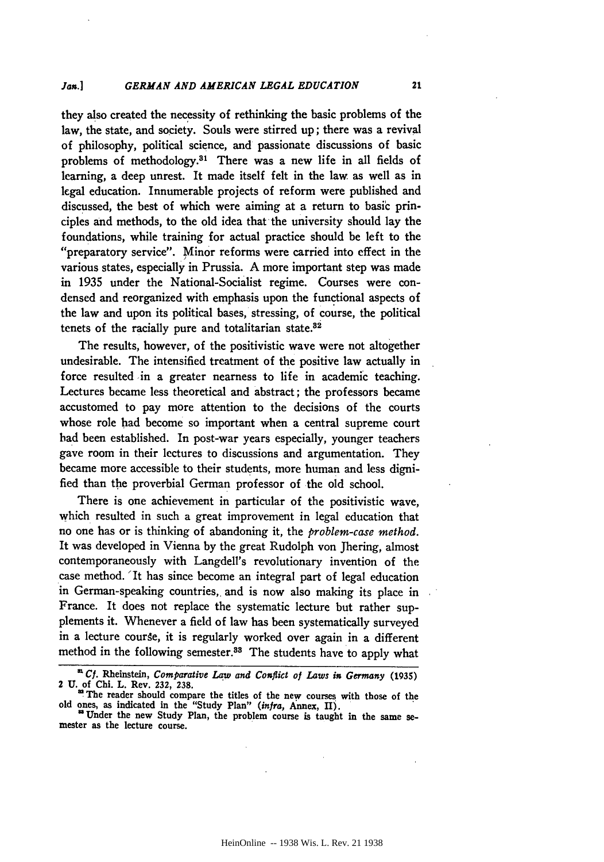they also created the necessity of rethinking the basic problems of the law, the state, and society. Souls were stirred up; there was a revival of philosophy, political science, and passionate discussions of basic problems of methodology.<sup>31</sup> There was a new life in all fields of learning, a deep unrest. It made itself felt in the law as well as in legal education. Innumerable projects of reform were published and discussed, the best of which were aiming at a return to basic principles and methods, to the old idea that the university should lay the foundations, while training for actual practice should be left to the "preparatory service". Minor reforms were carried into effect in the various states, especially in Prussia. **A** more important step was made in 1935 under the National-Socialist regime. Courses were condensed and reorganized with emphasis upon the functional aspects of the law and upon its political bases, stressing, of course, the political tenets of the racially pure and totalitarian state.<sup>82</sup>

The results, however, of the positivistic wave were not altogether undesirable. The intensified treatment of the positive law actually in force resulted in a greater nearness to life in academic teaching. Lectures became less theoretical and abstract; the professors became accustomed to pay more attention to the decisions of the courts whose role had become so important when a central supreme court bad been established. In post-war years especially, younger teachers gave room in their lectures to discussions and argumentation. They became more accessible to their students, more human and less digni**fied** than the proverbial German professor of the old school.

There is one achievement in particular of the positivistic wave, which resulted in such a great improvement in legal education that no one has or is thinking of abandoning it, the *problem-case method.* It was developed in Vienna **by** the great Rudolph von Jhering, almost contemporaneously with Langdell's revolutionary invention of the case method. 'It has since become an integral part of legal education in German-speaking countries, and is now also making its place in France. It does not replace the systematic lecture but rather supplements it. Whenever a field of law has been systematically surveyed in a lecture course, it is regularly worked over again in a different method in the following semester.<sup>88</sup> The students have to apply what

*Cf.* Rheinstein, *Comparative Law and Conflict of Laws in Germany* **(1935)** 2 **U.** of Chi. L. Rev. 232, 238.<br>
<sup>22</sup> The reader should compare the titles of the new courses with those of the

old ones, as indicated in the "Study Plan" *(infra,* Annex, **II).**

<sup>&</sup>quot;Under the new Study Plan, the problem course is taught in the same se- mester as the lecture course.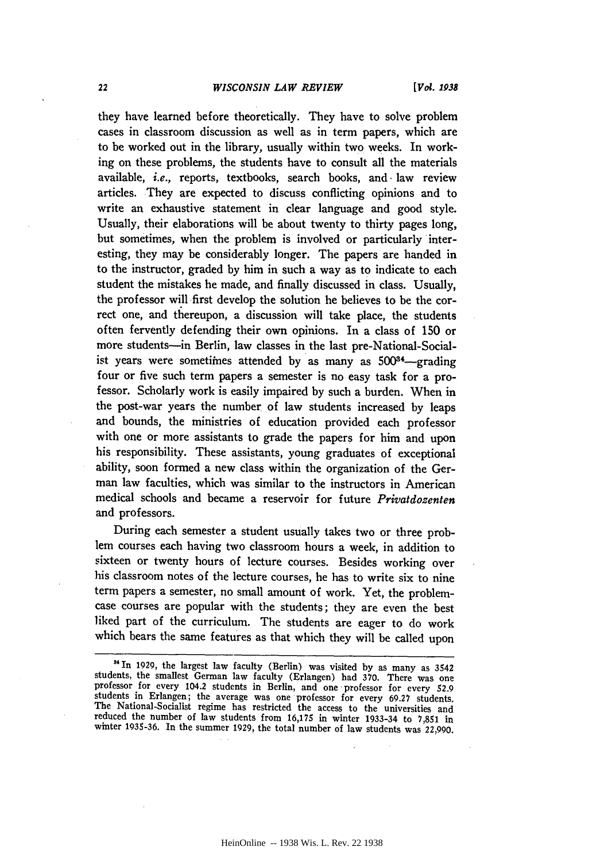they have learned before theoretically. They have to solve problem cases in classroom discussion as well as in term papers, which are to be worked out in the library, usually within two weeks. In working on these problems, the students have to consult all the materials available, *i.e.,* reports, textbooks, search books, and. law review articles. They are expected to discuss conflicting opinions and to write an exhaustive statement in clear language and good style. Usually, their elaborations will be about twenty to thirty pages long, but sometimes, when the problem is involved or particularly interesting, they may be considerably longer. The papers are handed in to the instructor, graded by him in such a way as to indicate to each student the mistakes he made, and finally discussed in class. Usually, the professor will first develop the solution he believes to be the correct one, and thereupon, a discussion will take place, the students often fervently defending their own opinions. In a class of 150 or more students-in Berlin, law classes in the last pre-National-Socialist years were sometimes attended by as many as 500<sup>34</sup>-grading four or five such term papers a semester is no easy task for a professor. Scholarly work is easily impaired by such a burden. When in the post-war years the number of law students increased by leaps and bounds, the ministries of education provided each professor with one or more assistants to grade the papers for him and upon his responsibility. These assistants, young graduates of exceptional ability, soon formed a new class within the organization of the German law faculties, which was similar to the instructors in American medical schools and became a reservoir for future *Privatdozenten* and professors.

During each semester a student usually takes two or three problem courses each having two classroom hours a week, in addition to sixteen or twenty hours of lecture courses. Besides working over his classroom notes of the lecture courses, he has to write six to nine term papers a semester, no small amount of work. Yet, the problemcase courses are popular with the students; they are even the best liked part of the curriculum. The students are eager to do work which bears the same features as that which they will be called upon

<sup>&</sup>lt;sup>34</sup> In 1929, the largest law faculty (Berlin) was visited by as many as 3542 students, the smallest German law faculty (Erlangen) had **370.** There was **one** professor for every 104.2 students in Berlin, and one professor for every 52.9 students in Erlangen; the average was one professor for every 69.27 students.<br>The National-Socialist regime has restricted the access to the universities and reduced the number of law students from **16,175** in winter **1933-34** to **7,851** in winter **1935-36.** In the summer **1929,** the total number of law students was **22,990.**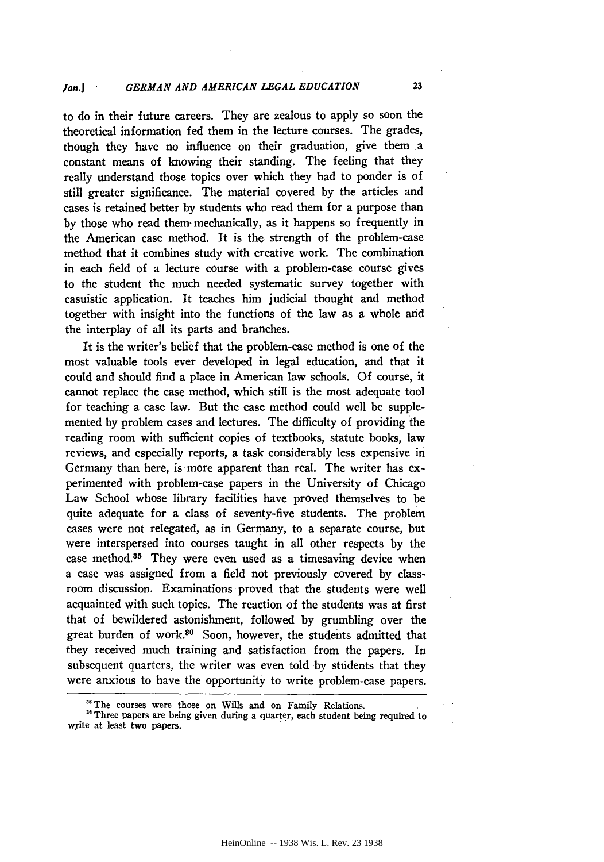to do in their future careers. They are zealous to apply so soon the theoretical information fed them in the lecture courses. The grades, though they have no influence on their graduation, give them a constant means of knowing their standing. The feeling that they really understand those topics over which they had to ponder is of still greater significance. The material covered by the articles and cases is retained better by students who read them for a purpose than by those who read them- mechanically, as it happens so frequently in the American case method. It is the strength of the problem-case method that it combines study with creative work. The combination in each field of a lecture course with a problem-case course gives to the student the much needed systematic survey together with casuistic application. It teaches him judicial thought and method together with insight into the functions of the law as a whole and the interplay of all its parts and branches.

It is the writer's belief that the problem-case method is one of the most valuable tools ever developed in legal education, and that it could and should find a place in American law schools. Of course, it cannot replace the case method, which still is the most adequate tool for teaching a case law. But the case method could well be supplemented by problem cases and lectures. The difficulty of providing the reading room with sufficient copies of textbooks, statute books, law reviews, and especially reports, a task considerably less expensive in Germany than here, is more apparent than real. The writer has experimented with problem-case papers in the University of Chicago Law School whose library facilities have proved themselves to be quite adequate for a class of seventy-five students. The problem cases were not relegated, as in Germany, to a separate course, but were interspersed into courses taught in all other respects by the case method.<sup>35</sup> They were even used as a timesaving device when a case was assigned from a field not previously covered by classroom discussion. Examinations proved that the students were well acquainted with such topics. The reaction of the students was at first that of bewildered astonishment, followed by grumbling over the great burden of work.<sup>36</sup> Soon, however, the students admitted that they received much training and satisfaction from the papers. In subsequent quarters, the writer was even told by students that they were anxious to have the opportunity to write problem-case papers.

<sup>&</sup>lt;sup>35</sup> The courses were those on Wills and on Family Relations.

<sup>&</sup>lt;sup>36</sup> Three papers are being given during a quarter, each student being required to write at least two papers.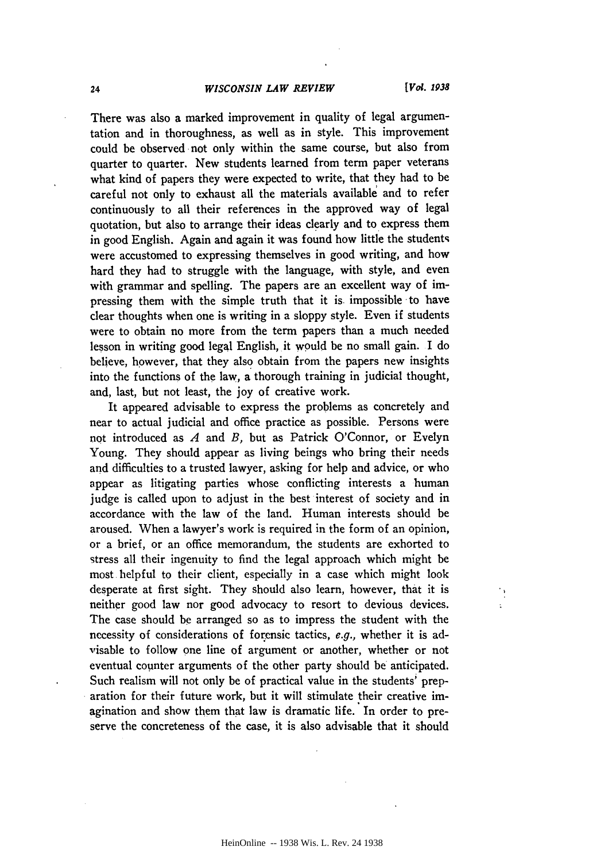#### *WISCONSIN LAW REVIEW*

 $24$ 

There was also a marked improvement in quality of legal argumentation and in thoroughness, as well as in style. This improvement could be observed not only within the same course, but also from quarter to quarter. New students learned from term paper veterans what kind of papers they were expected to write, that they had to be careful not only to exhaust all the materials available and to refer continuously to all their references in the approved way of legal quotation, but also to arrange their ideas clearly and to express them in good English. Again and again it was found how little the students were accustomed to expressing themselves in good writing, and how hard they had to struggle with the language, with style, and even with grammar and spelling. The papers are an excellent way of impressing them with the simple truth that it is. impossible to have clear thoughts when one is writing in a sloppy style. Even if students were to obtain no more from the term papers than a much needed lesson in writing good legal English, it would be no small gain. I do believe, however, that they also obtain from the papers new insights into the functions of the law, a thorough training in judicial thought, and, last, but not least, the **joy** of creative work.

It appeared advisable to express the problems as concretely and near to actual judicial and office practice as possible. Persons were not introduced as *A* and *B,* but as Patrick O'Connor, or Evelyn Young. They should appear as living beings who bring their needs and difficulties to a trusted lawyer, asking for help and advice, or who appear as litigating parties whose conflicting interests a human judge is called upon to adjust in the best interest of society and in accordance with the law of the land. Human interests should be aroused. When a lawyer's work is required in the form of an opinion, or a brief, or an office memorandum, the students are exhorted to stress all their ingenuity to find the legal approach which might be most helpful to their client, especially in a case which might look desperate at first sight. They should also learn, however, that it is neither good law nor good advocacy to resort to devious devices. The case should be arranged so as to impress the student with the necessity of considerations of forensic tactics, e.g., whether it is advisable to follow one line of argument or another, whether or not eventual counter arguments of the other party should be anticipated. Such realism will not only be of practical value in the students' preparation for their future work, but it will stimulate their creative imagination and show them that law is dramatic life. In order to preserve the concreteness of the case, it is also advisable that it should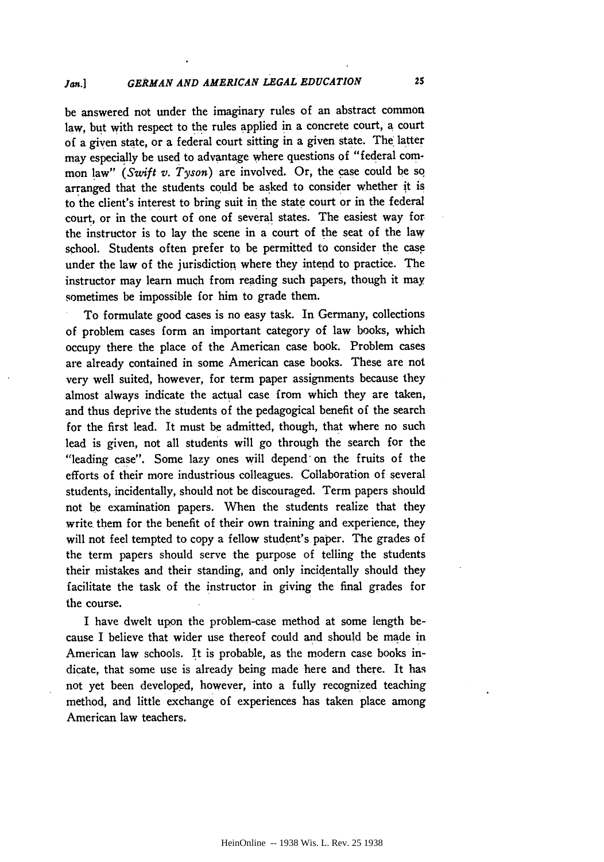be answered not under the imaginary rules of an abstract common law, but with respect to the rules applied in a concrete court, a court of a given state, or a federal court sitting in a given state. The latter may especially be used to advantage where questions of "federal common law" (Swift *v. Tyson)* are involved. Or, the case could be so arranged that the students could be asked to consider whether it is to the client's interest to bring suit in the state court or in the federal court, or in the court of one of several states. The easiest way for the instructor is to lay the scene in a court of the seat of the law school. Students often prefer to be permitted to consider the case under the law of the jurisdiction where they intend to practice. The instructor may learn much from reading such papers, though it may sometimes be impossible for him to grade them.

To formulate good cases is no easy task. In Germany, collections of problem cases form an important category of law books, which occupy there the place of the American case book. Problem cases are already contained in some American case books. These are not very well suited, however, for term paper assignments because they almost always indicate the actual case from which they are taken, and thus deprive the students of the pedagogical benefit of the search for the first lead. It must be admitted, though, that where no such lead is given, not all students will go through the search for the "leading case". Some lazy ones will depend on the fruits of the efforts of their more industrious colleagues. Collaboration of several students, incidentally, should not be discouraged. Term papers should not be examination papers. When the students realize that they write them for the benefit of their own training and experience, they will not feel tempted to copy a fellow student's paper. The grades of the term papers should serve the purpose of telling the students their mistakes and their standing, and only incidentally should they facilitate the task of the instructor in giving the final grades for the course.

I have dwelt upon the problem-case method at some length because I believe that wider use thereof could and should be made in American law schools. It is probable, as the modern case books indicate, that some use is already being made here and there. It has not yet been developed, however, into a fully recognized teaching method, and little exchange of experiences has taken place among American law teachers.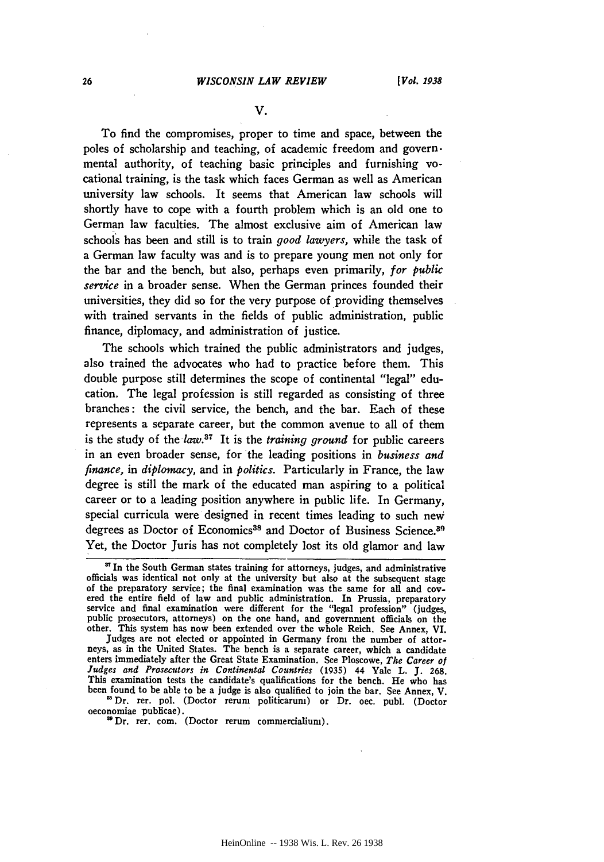**V.**

To find the compromises, proper to time and space, between the poles of scholarship and teaching, of academic freedom and governmental authority, of teaching basic principles and furnishing vocational training, is the task which faces German as well as American university law schools. It seems that American law schools will shortly have to cope with a fourth problem which is an old one to German law faculties. The almost exclusive aim of American law schools has been and still is to train *good lawyers,* while the task of a German law faculty was and is to prepare young men not only for the bar and the bench, but also, perhaps even primarily, *for public service* in a broader sense. When the German princes founded their universities, they did so for the very purpose of providing themselves with trained servants in the fields of public administration, public finance, diplomacy, and administration of justice.

The schools which trained the public administrators and judges, also trained the advocates who had to practice before them. This double purpose still determines the scope of continental "legal" education. The legal profession is still regarded as consisting of three branches: the civil service, the bench, and the bar. Each of these represents a separate career, but the common avenue to all of them is the study of the *law*.<sup>87</sup> It is the *training ground* for public careers in an even broader sense, for the leading positions in *business and finance,* in *diplomacy,* and in *politics.* Particularly in France, the law degree is still the mark of the educated man aspiring to a political career or to a leading position anywhere in public life. In Germany, special curricula were designed in recent times leading to such new degrees as Doctor of Economics<sup>38</sup> and Doctor of Business Science.<sup>39</sup> Yet, the Doctor Juris has not completely lost its old glamor and law

Judges are not elected or appointed in Germany from the number of attorneys, as in the United States. The bench is a separate career, which a candidate enters immediately after the Great State Examination. See Ploscowe, *The Career of Judges and Prosecutors in Continental Countries* **(1935)** 44 Yale L. **J. 268.** This examination tests the candidate's qualifications for the bench. He who has been found to be able to be a judge is also qualified to join the bar. See Annex, V.

'Dr. rer. pol. (Doctor rerum politicarum) or Dr. oec. publ. (Doctor oeconomiae publicae).

'Dr. rer. com. (Doctor rerum commercialium).

<sup>&</sup>lt;sup>37</sup> In the South German states training for attorneys, judges, and administrative officials was identical not only at the university but also at the subsequent stage of the preparatory service; the final examination was the same for all and covered the entire field of law and public administration. In Prussia, preparatory service and final examination were different for the "legal prof public prosecutors, attorneys) on the one hand, and government officials on the other. This system has now been extended over the whole Reich. See Annex, VI.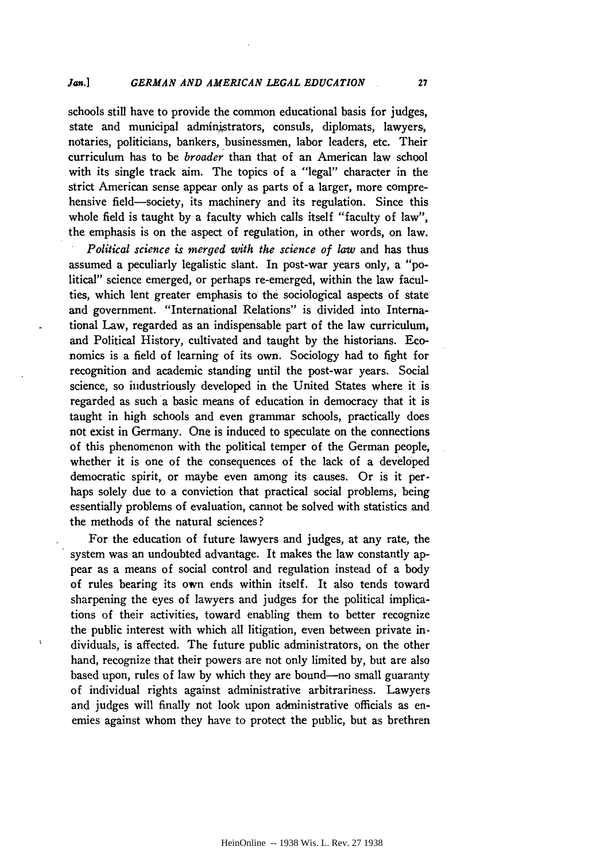schools still have to provide the common educational basis for judges, state and municipal administrators, consuls, diplomats, lawyers, notaries, politicians, bankers, businessmen, labor leaders, etc. Their curriculum has to be *broader* than that of an American law school with its single track aim. The topics of a "legal" character in the strict American sense appear only as parts of a larger, more comprehensive field-society, its machinery and its regulation. Since this whole field is taught **by** a faculty which calls itself "faculty of law", the emphasis is on the aspect of regulation, in other words, on law.

*Political science is merged with the science of law* and has thus assumed a peculiarly legalistic slant. In post-war years only, a "political" science emerged, or perhaps re-emerged, within the law faculties, which lent greater emphasis to the sociological aspects of state and government. "International Relations" is divided into International Law, regarded as an indispensable part of the law curriculum, and Political History, cultivated and taught by the historians. Economics is a field of learning of its own. Sociology had to fight for recognition and academic standing until the post-war years. Social science, so industriously developed in the United States where it is regarded as such a basic means of education in democracy that it is taught in high schools and even grammar schools, practically does not exist in Germany. One is induced to speculate on the connections of this phenomenon with the political temper of the German people, whether it is one of the consequences of the lack of a developed democratic spirit, or maybe even among its causes. Or is it perhaps solely due to a conviction that practical social problems, being essentially problems of evaluation, cannot be solved with statistics and the methods of the natural sciences?

For the education of future lawyers and judges, at any rate, the system was an undoubted advantage. It makes the law constantly appear as a means of social control and regulation instead of a body of rules bearing its own ends within itself. It also tends toward sharpening the eyes of lawyers and judges for the political implications of their activities, toward enabling them to better recognize the public interest with which all litigation, even between private individuals, is affected. The future public administrators, on the other hand, recognize that their powers are not only limited by, but are also based upon, rules of law by which they are bound-no small guaranty of individual rights against administrative arbitrariness. Lawyers and judges will finally not look upon administrative officials as enemies against whom they have to protect the public, but as brethren

 $\mathbf{r}$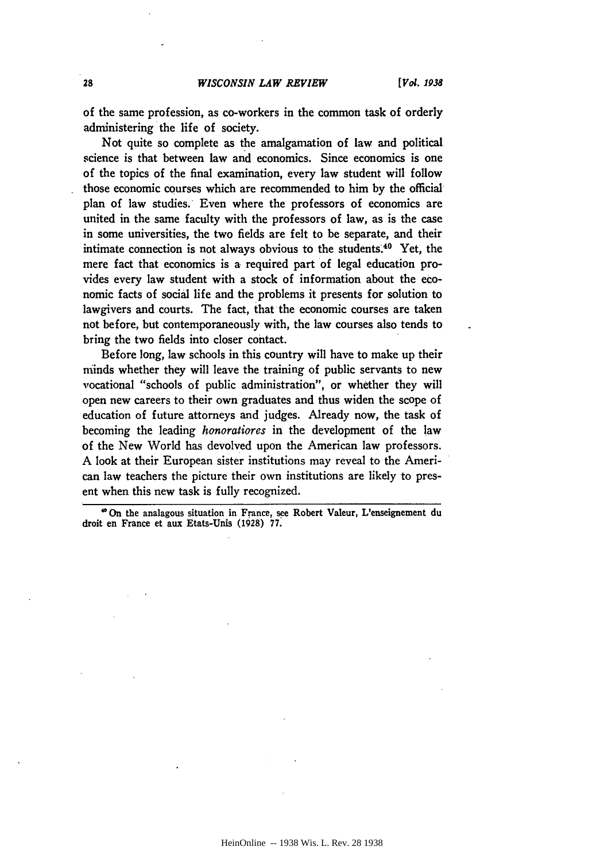of the same profession, as co-workers in the common task of orderly administering the life of society.

Not quite so complete as the amalgamation of law and political science is that between law and economics. Since economics is one of the topics of the final examination, every law student will follow those economic courses which are recommended to him **by** the official plan of law studies. Even where the professors of economics are united in the same faculty with the professors of law, as is the case in some universities, the two fields are felt to be separate, and their intimate connection is not always obvious to the students.40 Yet, the mere fact that economics is a required part of legal education provides every law student with a stock of information about the economic facts of social life and the problems it presents for solution to lawgivers and courts. The fact, that the economic courses are taken not before, but contemporaneously with, the law courses also tends to bring the two fields into closer contact.

Before long, law schools in this country will have to make up their minds whether they will leave the training of public servants to new vocational "schools of public administration", or whether they will open new careers to their own graduates and thus widen the scope of education of future attorneys and judges. Already now, the task of becoming the leading *honoratiores* in the development of the law of the New World has devolved upon the American law professors. A look at their European sister institutions may reveal to the American law teachers the picture their own institutions are likely to present when this new task is fully recognized.

*'On* the analagous situation in France, see Robert Valeur, L'enseignement du droit en France et aux Etats-Unis **(1928) 77.**

28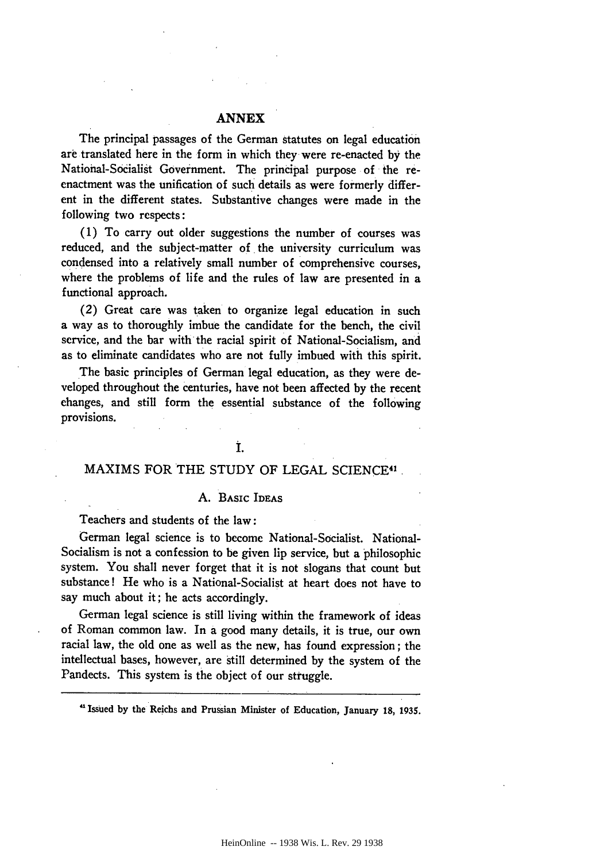# **ANNEX**

The principal passages of the German statutes on legal education are translated here in the form in which they were re-enacted **by** the National-Socialist Government. The principal purpose of the reenactment was the unification of such details as were formerly different in the different states. Substantive changes were made in the following two respects:

**(1)** To carry out older suggestions the number of courses was reduced, and the subject-matter of the university curriculum was condensed into a relatively small number of comprehensive courses, where the problems of life and the rules of law are presented in a functional approach.

(2) Great care was taken to organize legal education in such a way as to thoroughly imbue the candidate for the bench, the civil service, and the bar with the racial spirit of National-Socialism, and as to eliminate candidates who are not fully imbued with this spirit.

The basic principles of German legal education, as they were developed throughout the centuries, have not been affected **by** the recent changes, and still form the essential substance of the following provisions.

# **I.**

# MAXIMS FOR THE **STUDY** OF **LEGAL** SCIENCE 41.

#### **A.** BASIC IDEAS

Teachers and students of the law:

German legal science is to become National-Socialist. National-Socialism is not a confession to **be** given lip service, but a philosophic system. You shall never forget that it is not slogans that count but substance! He who is a National-Socialist at heart does not have to say much about it; he acts accordingly.

German legal science is still living within the framework of ideas of Roman common law. In a good many details, it is true, our own racial law, the old one as well as the new, has found expression; the intellectual bases, however, are still determined **by** the system of the Pandects. This system is the object of our struggle.

'Issued **by** the Reichs and Prussian Minister of Education, January **18,** 1935.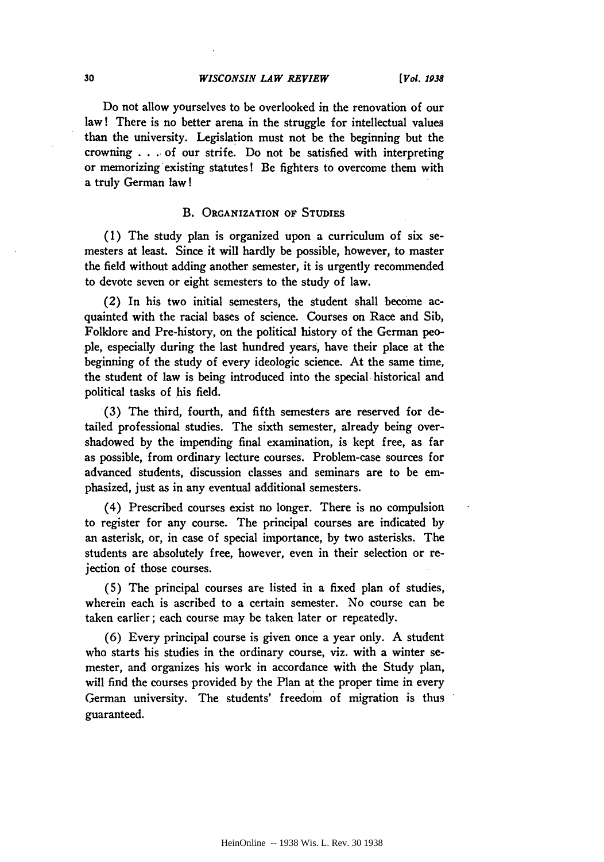Do not allow yourselves to be overlooked in the renovation of our law! There is no better arena in the struggle for intellectual values than the university. Legislation must not be the beginning but the crowning . **. .** of our strife. Do not be satisfied with interpreting or memorizing existing statutes! Be fighters to overcome them with a truly German law!

#### B. **ORGANIZATION OF STUDIES**

**(1)** The study plan is organized upon a curriculum of six semesters at least. Since it will hardly be possible, however, to master the field without adding another semester, it is urgently recommended to devote seven or eight semesters to the study of law.

(2) In his two initial semesters, the student shall become acquainted with the racial bases of science. Courses on Race and Sib, Folklore and Pre-history, on the political history of the German people, especially during the last hundred years, have their place at the beginning of the study of every ideologic science. At the same time, the student of law is being introduced into the special historical and political tasks of his field.

**(3)** The third, fourth, and fifth semesters are reserved for detailed professional studies. The sixth semester, already being overshadowed by the impending final examination, is kept free, as far as possible, from ordinary lecture courses. Problem-case sources for advanced students, discussion classes and seminars are to be emphasized, just as in any eventual additional semesters.

(4) Prescribed courses exist no longer. There is no compulsion to register for any course. The principal courses are indicated **by** an asterisk, or, in case of special importance, by two asterisks. The students are absolutely free, however, even in their selection or rejection of those courses.

**(5)** The principal courses are listed in a fixed plan of studies, wherein each is ascribed to a certain semester. No course can be taken earlier; each course may be taken later or repeatedly.

(6) Every principal course is given once a year only. A student who starts his studies in the ordinary course, viz. with a winter semester, and organizes his work in accordance with the Study plan, will find the courses provided by the Plan at the proper time in every German university. The students' freedom of migration is thus guaranteed.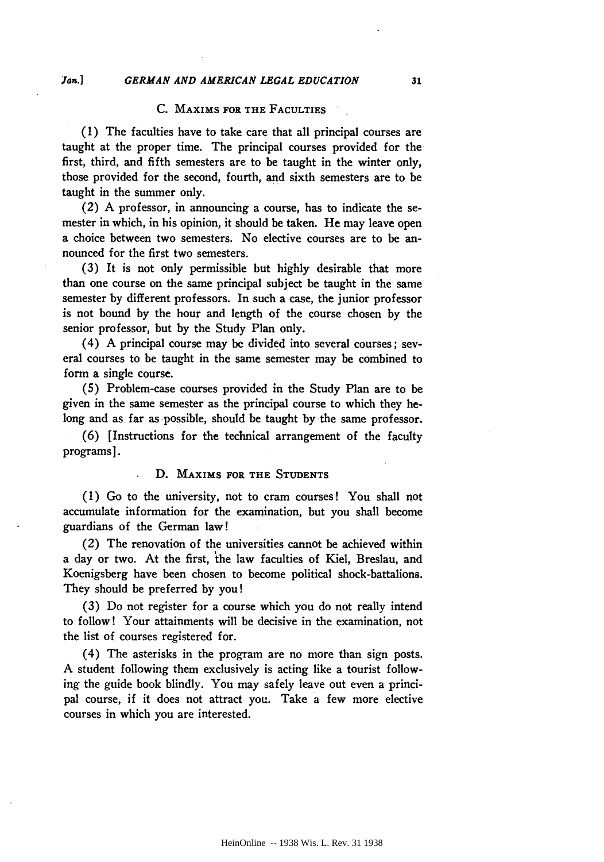# **C. MAXIMS FOR THE FACULTIES**

(1) The faculties have to take care that all principal courses are taught at the proper time. The principal courses provided for the first, third, and fifth semesters are to be taught in the winter only, those provided for the second, fourth, and sixth semesters are to be taught in the summer only.

(2) A professor, in announcing a course, has to indicate the semester in which, in his opinion, it should be taken. He may leave open a choice between two semesters. No elective courses are to be announced for the first two semesters.

**(3)** It is not only permissible but highly desirable that more than one course on the same principal subject be taught in the same semester **by** different professors. In such a case, the junior professor is not bound **by** the hour and length of the course chosen **by** the senior professor, but by the Study Plan only.

(4) A principal course may be divided into several courses; several courses to be taught in the same semester may be combined to form a single course.

**(5)** Problem-case courses provided in the Study Plan are to be given in the same semester as the principal course to which they belong and as far as possible, should be taught by the same professor.

(6) [Instructions for the technical arrangement of the faculty programs].

# **D. MAXIMS FOR THE STUDENTS**

(1) Go to the university, not to cram courses! You shall not accumulate information for the examination, but you shall become guardians of the German law!

(2) The renovation of the universities cannot be achieved within a day or two. At the first, the law faculties of Kiel, Breslau, and Koenigsberg have been chosen to become political shock-battalions. They should be preferred **by** you!

**(3)** Do not register for a course which you do not really intend to follow! Your attainments will be decisive in the examination, not the list of courses registered for.

(4) The asterisks in the program are no more than sign posts. A student following them exclusively is acting like a tourist following the guide book blindly. You may safely leave out even a principal course, if it does not attract you. Take a few more elective courses in which you are interested.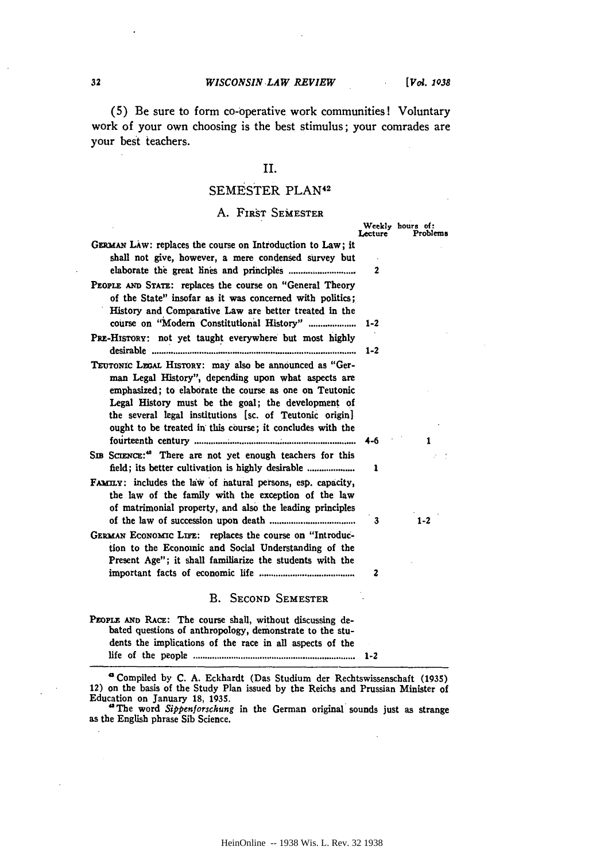÷.

**(5)** Be sure to form co-operative work communities! Voluntary work of your own choosing is the best stimulus; your comrades are your best teachers.

# II.

# SEMESTER PLAN<sup>42</sup>

# A. FIRST SEMESTER

|                                                                                                                                                                                                                                                                                                                                                       | Lecture | Weekly hours of:<br>Problems |
|-------------------------------------------------------------------------------------------------------------------------------------------------------------------------------------------------------------------------------------------------------------------------------------------------------------------------------------------------------|---------|------------------------------|
| GERMAN LAW: replaces the course on Introduction to Law; it<br>shall not give, however, a mere condensed survey but                                                                                                                                                                                                                                    |         |                              |
|                                                                                                                                                                                                                                                                                                                                                       | 2       |                              |
| PEOPLE AND STATE: replaces the course on "General Theory<br>of the State" insofar as it was concerned with politics;<br>History and Comparative Law are better treated in the                                                                                                                                                                         |         |                              |
| course on "Modern Constitutional History"                                                                                                                                                                                                                                                                                                             | $1 - 2$ |                              |
| PRE-HISTORY: not yet taught everywhere but most highly                                                                                                                                                                                                                                                                                                |         |                              |
|                                                                                                                                                                                                                                                                                                                                                       | $1 - 2$ |                              |
| TEUTONIC LEGAL HISTORY: may also be announced as "Ger-<br>man Legal History", depending upon what aspects are<br>emphasized; to elaborate the course as one on Teutonic<br>Legal History must be the goal; the development of<br>the several legal institutions [sc. of Teutonic origin]<br>ought to be treated in this course; it concludes with the |         |                              |
|                                                                                                                                                                                                                                                                                                                                                       | 4-6     | 1                            |
| SIB SCIENCE: <sup>48</sup> There are not yet enough teachers for this                                                                                                                                                                                                                                                                                 |         |                              |
|                                                                                                                                                                                                                                                                                                                                                       | 1       |                              |
| FAMILY: includes the law of natural persons, esp. capacity,<br>the law of the family with the exception of the law<br>of matrimonial property, and also the leading principles                                                                                                                                                                        | 3       | $1 - 2$                      |
| GERMAN ECONOMIC LIFE: replaces the course on "Introduc-<br>tion to the Economic and Social Understanding of the<br>Present Age"; it shall familiarize the students with the                                                                                                                                                                           |         |                              |
|                                                                                                                                                                                                                                                                                                                                                       | 2       |                              |
| B. SECOND SEMESTER                                                                                                                                                                                                                                                                                                                                    |         |                              |
| PEOPLE AND RACE: The course shall, without discussing de-<br>bated questions of anthropology, demonstrate to the stu-<br>dents the implications of the race in all aspects of the                                                                                                                                                                     |         |                              |

**a** Compiled **by C. A.** Eckhardt (Das Studium der Rechtswissenschaft **(1935)** 12) on the basis of the Study Plan issued **by** the Reichs and Prussian Minister of Education on January **18, 1935.**

life of the people ............................... 1-2

" The word *Sippenforschung* in the German original sounds just as strange as the English phrase Sib Science.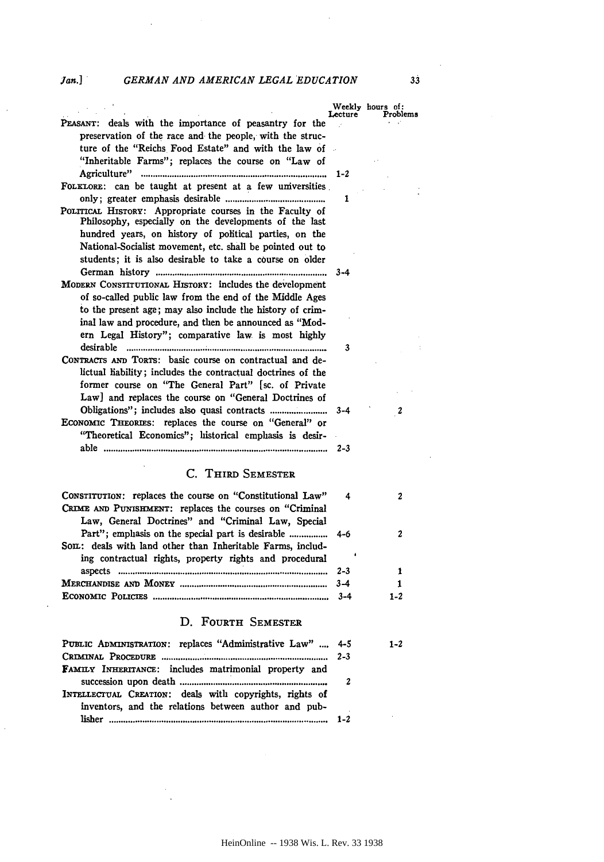#### *GERMAN AND AMERICAN LEGAL EDUCATION*

*Jan.]*

|                                                             | Lecture | Weekly hours of:<br>Problems |
|-------------------------------------------------------------|---------|------------------------------|
| PEASANT: deals with the importance of peasantry for the     |         |                              |
| preservation of the race and the people, with the struc-    |         |                              |
| ture of the "Reichs Food Estate" and with the law of        |         |                              |
| "Inheritable Farms"; replaces the course on "Law of         |         |                              |
|                                                             |         |                              |
| FOLKLORE: can be taught at present at a few universities    |         |                              |
|                                                             | 1       |                              |
| POLITICAL HISTORY: Appropriate courses in the Faculty of    |         |                              |
| Philosophy, especially on the developments of the last      |         |                              |
| hundred years, on history of political parties, on the      |         |                              |
| National-Socialist movement, etc. shall be pointed out to   |         |                              |
|                                                             |         |                              |
| students; it is also desirable to take a course on older    |         |                              |
|                                                             | $3 - 4$ |                              |
| MODERN CONSTITUTIONAL HISTORY: includes the development     |         |                              |
| of so-called public law from the end of the Middle Ages     |         |                              |
| to the present age; may also include the history of crim-   |         |                              |
| inal law and procedure, and then be announced as "Mod-      |         |                              |
| ern Legal History"; comparative law is most highly          |         |                              |
|                                                             | 3       |                              |
| CONTRACTS AND TORTS: basic course on contractual and de-    |         |                              |
| lictual hability; includes the contractual doctrines of the |         |                              |
| former course on "The General Part" [sc. of Private         |         |                              |
| Law] and replaces the course on "General Doctrines of       |         |                              |
|                                                             | $3 - 4$ | $\boldsymbol{2}$             |
| ECONOMIC THEORIES: replaces the course on "General" or      |         |                              |
| "Theoretical Economics"; listorical emphasis is desir-      |         |                              |
|                                                             | $2 - 3$ |                              |
|                                                             |         |                              |
| C. THIRD SEMESTER                                           |         |                              |
|                                                             |         |                              |
| CONSTITUTION: replaces the course on "Constitutional Law"   | 4       | $\mathbf{2}$                 |
| CRIME AND PUNISHMENT: replaces the courses on "Criminal     |         |                              |
| Law, General Doctrines" and "Criminal Law, Special          |         |                              |
|                                                             | $4 - 6$ | $\mathbf{2}$                 |
| Son: deals with land other than Inheritable Farms, includ-  |         |                              |
| ing contractual rights, property rights and procedural      |         |                              |
|                                                             | $2 - 3$ | 1                            |
|                                                             | $3 - 4$ | $\mathbf{1}$                 |
|                                                             | $3 - 4$ | $1 - 2$                      |
|                                                             |         |                              |
| D. FOURTH SEMESTER                                          |         |                              |

| PUBLIC ADMINISTRATION: replaces "Administrative Law"  4-5    | $1 - 2$ |
|--------------------------------------------------------------|---------|
|                                                              |         |
| <b>FAMILY INHERITANCE:</b> includes matrimonial property and |         |
|                                                              |         |
| INTELLECTUAL CREATION: deals with copyrights, rights of      |         |
| inventors, and the relations between author and pub-         |         |
|                                                              |         |

 $33$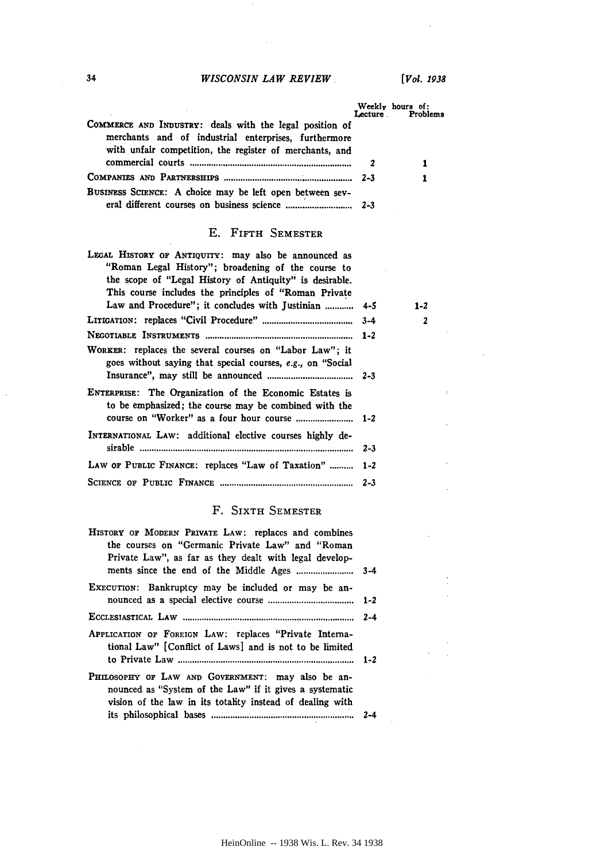# *WISCONSIN LAW REVIEW*

*[Vol. 1938*

|                                                                                                                                                                            | Lecture | Weekly hours of:<br>Problems |
|----------------------------------------------------------------------------------------------------------------------------------------------------------------------------|---------|------------------------------|
| COMMERCE AND INDUSTRY: deals with the legal position of<br>merchants and of industrial enterprises, furthermore<br>with unfair competition, the register of merchants, and |         |                              |
|                                                                                                                                                                            |         |                              |
|                                                                                                                                                                            |         |                              |
| BUSINESS SCIENCE: A choice may be left open between sev-                                                                                                                   |         |                              |

# E. **FiFTH** SEMESTER

| LEGAL HISTORY OF ANTIQUITY: may also be announced as<br>"Roman Legal History"; broadening of the course to<br>the scope of "Legal History of Antiquity" is desirable. |         |         |  |
|-----------------------------------------------------------------------------------------------------------------------------------------------------------------------|---------|---------|--|
| This course includes the principles of "Roman Private"                                                                                                                |         |         |  |
| Law and Procedure"; it concludes with Justinian  4-5                                                                                                                  |         | $1 - 2$ |  |
|                                                                                                                                                                       |         | 2       |  |
|                                                                                                                                                                       |         |         |  |
| WORKER: replaces the several courses on "Labor Law"; it<br>goes without saying that special courses, e.g., on "Social"                                                |         |         |  |
| ENTERPRISE: The Organization of the Economic Estates is<br>to be emphasized; the course may be combined with the                                                      |         |         |  |
| INTERNATIONAL LAW: additional elective courses highly de-                                                                                                             | $2 - 3$ |         |  |
| LAW OF PUBLIC FINANCE: replaces "Law of Taxation"  1-2                                                                                                                |         |         |  |
|                                                                                                                                                                       |         |         |  |
|                                                                                                                                                                       |         |         |  |

# F. SIXTH SEMESTER

| HISTORY OF MODERN PRIVATE LAW: replaces and combines<br>the courses on "Germanic Private Law" and "Roman<br>Private Law", as far as they dealt with legal develop-        |  |
|---------------------------------------------------------------------------------------------------------------------------------------------------------------------------|--|
| EXECUTION: Bankruptcy may be included or may be an-                                                                                                                       |  |
|                                                                                                                                                                           |  |
| APPLICATION OF FOREIGN LAW: replaces "Private Interna-<br>tional Law" [Conflict of Laws] and is not to be limited                                                         |  |
| PHILOSOPHY OF LAW AND GOVERNMENT: may also be an-<br>nounced as "System of the Law" if it gives a systematic<br>vision of the law in its totality instead of dealing with |  |
|                                                                                                                                                                           |  |

 $34$ 

 $\overline{\phantom{a}}$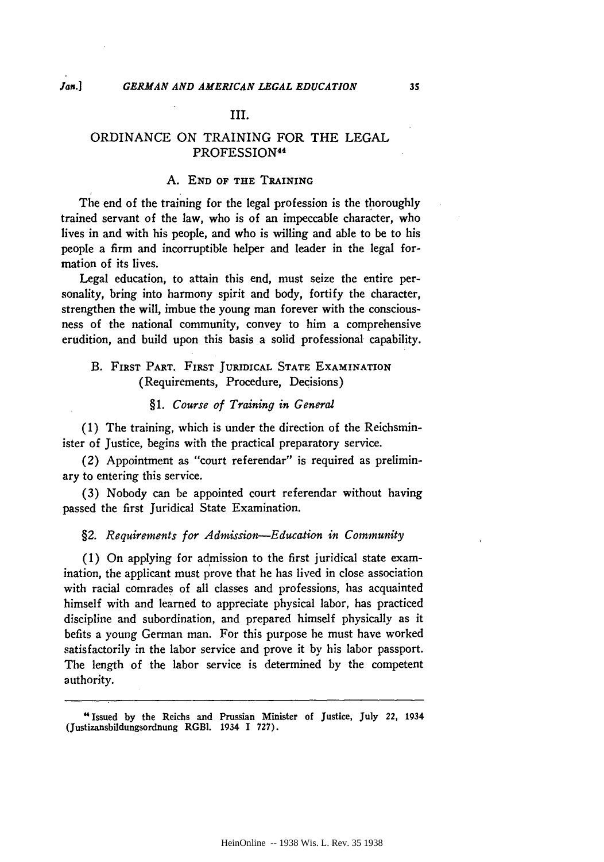# III.

# ORDINANCE ON TRAINING FOR THE **LEGAL** PROFESSION<sup>44</sup>

#### **A. END OF THE TRAINING**

The end of the training for the legal profession is the thoroughly trained servant of the law, who is of an impeccable character, who lives in and with his people, and who is willing and able to be to his people a firm and incorruptible helper and leader in the legal formation of its lives.

Legal education, to attain this end, must seize the entire personality, bring into harmony spirit and body, fortify the character, strengthen the will, imbue the young man forever with the consciousness of the national community, convey to him a comprehensive erudition, and build upon this basis a solid professional capability.

# B. **FIRST PART. FIRST JURIDICAL STATE EXAMINATION** (Requirements, Procedure, Decisions)

# *§1. Course of Training in General*

(1) The training, which is under the direction of the Reichsminister of Justice, begins with the practical preparatory service.

(2) Appointment as "court referendar" is required as preliminary to entering this service.

(3) Nobody can be appointed court referendar without having passed the first Juridical State Examination.

#### *§2. Requirements for Admission-Education in Community*

(1) On applying for admission to the first juridical state examination, the applicant must prove that he has lived in close association with racial comrades of all classes and professions, has acquainted himself with and learned to appreciate physical labor, has practiced discipline and subordination, and prepared himself physically as it befits a young German man. For this purpose he must have worked satisfactorily in the labor service and prove it **by** his labor passport. The length of the labor service is determined by the competent authority.

"Issued **by** the Reichs and Prussian Minister of Justice, July 22, 1934 (Justizansbildungsordnung **RGBI. 1934 I 727).**

*Jan.]*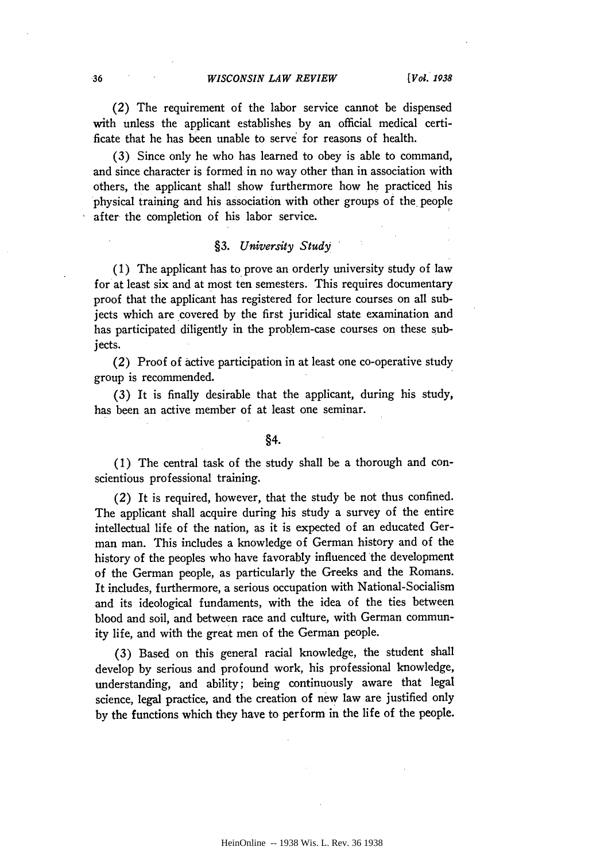(2) The requirement of the labor service cannot be dispensed with unless the applicant establishes by an official medical certificate that he has been unable to serve for reasons of health.

(3) Since only he who has learned to obey is able to command, and since character is formed in no way other than in association with others, the applicant shall show furthermore how he practiced his physical training and his association with other groups of the people after the completion of his labor service.

# *§3. University Study*

(1) The applicant has to prove an orderly university study of law for at least six and at most ten semesters. This requires documentary proof that the applicant has registered for lecture courses on all subjects which are covered by the first juridical state examination and has participated diligently in the problem-case courses on these subjects.

(2) Proof of active participation in at least one co-operative study group is recommended.

(3) It is finally desirable that the applicant, during his study, has been an active member of at least one seminar.

# *§4.*

(1) The central task of the study shall be a thorough and conscientious professional training.

(2) It is required, however, that the study be not thus confined. The applicant shall acquire during his study a survey of the entire intellectual life of the nation, as it is expected of an educated German man. This includes a knowledge of German history and of the history of the peoples who have favorably influenced the development of the German people, as particularly the Greeks and the Romans. It includes, furthermore, a serious occupation with National-Socialism and its ideological fundaments, with the idea of the ties between blood and soil, and between race and culture, with German community life, and with the great men of the German people.

(3) Based on this general racial knowledge, the student shall develop by serious and profound work, his professional knowledge, understanding, and ability; being continuously aware that legal science, legal practice, and the creation of new law are justified only by the functions which they have to perform in the life of the people.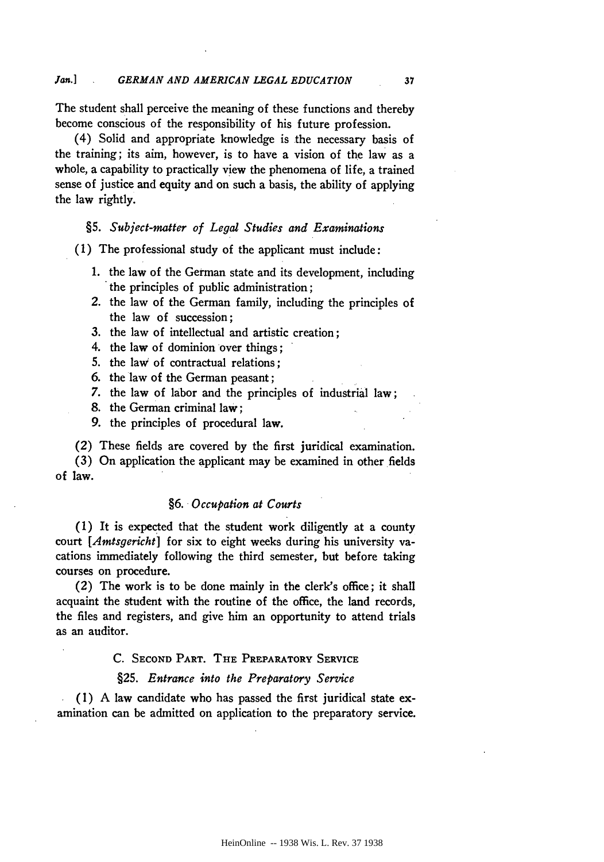The student shall perceive the meaning of these functions and thereby become conscious of the responsibility of his future profession.

(4) Solid and appropriate knowledge is the necessary basis of the training; its aim, however, is to have a vision of the law as a whole, a capability to practically view the phenomena of life, a trained sense of justice and equity and on such a basis, the ability of applying the law rightly.

#### *§5. Subject-matter of Legal Studies and Examinations*

(1) The professional study of the applicant must include:

- 1. the law of the German state and its development, including the principles of public administration;
- 2. the law of the German family, including the principles of the law of succession;
- **3.** the law of intellectual and artistic creation;
- 4. the law of dominion over things;
- **5.** the law of contractual relations;
- **6.** the law of the German peasant;
- *7.* the law of labor and the principles of industrial law;
- **8.** the German criminal law;
- **9.** the principles of procedural law.

(2) These fields are covered **by** the first juridical examination.

(3) On application the applicant may be examined in other fields of law.

# *§6. Occupation at Courts*

(1) It is expected that the student work diligently at a county court *[Amtsgericht]* for six to eight weeks during his university vacations immediately following the third semester, but before taking courses on procedure.

(2) The work is to be done mainly in the clerk's office; it shall acquaint the student with the routine of the office, the land records, the files and registers, and give him an opportunity to attend trials as an auditor.

# **C. SECOND PART. THE** PREPARATORY SERVICE

# **§25.** *Entrance into the Preparatory Service*

(1) A law candidate who has passed the first juridical state **ex**amination can be admitted on application to the preparatory service.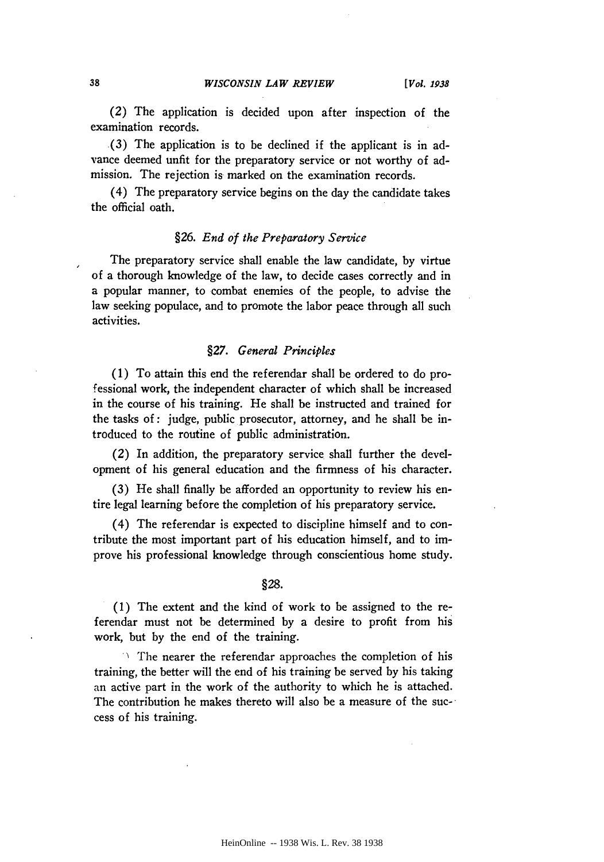(2) The application is decided upon after inspection of the examination records.

(3) The application is to be declined if the applicant is in advance deemed unfit for the preparatory service or not worthy of admission. The rejection is marked on the examination records.

(4) The preparatory service begins on the day the candidate takes the official oath.

# §26. *End of the Preparatory Service*

The preparatory service shall enable the law candidate, by virtue of a thorough knowledge of the law, to decide cases correctly and in a popular manner, to combat enemies of the people, to advise the law seeking populace, and to promote the labor peace through all such activities.

# *§27. General Principles*

(1) To attain this end the referendar shall be ordered to do professional work, the independent character of which shall be increased in the course of his training. He shall be instructed and trained for the tasks of: judge, public prosecutor, attorney, and he shall be introduced to the routine of public administration.

(2) In addition, the preparatory service shall further the development of his general education and the firmness of his character.

(3) He shall finally be afforded an opportunity to review his entire legal learning before the completion of his preparatory service.

(4) The referendar is expected to discipline himself and to contribute the most important part of his education himself, and to improve his professional knowledge through conscientious home study.

#### §28.

(1) The extent and the kind of work to be assigned to the referendar must not be determined by a desire to profit from his work, but by the end of the training.

 $\therefore$  The nearer the referendar approaches the completion of his training, the better will the end of his training be served by his taking an active part in the work of the authority to which he is attached. The contribution he makes thereto will also be a measure of the success of his training.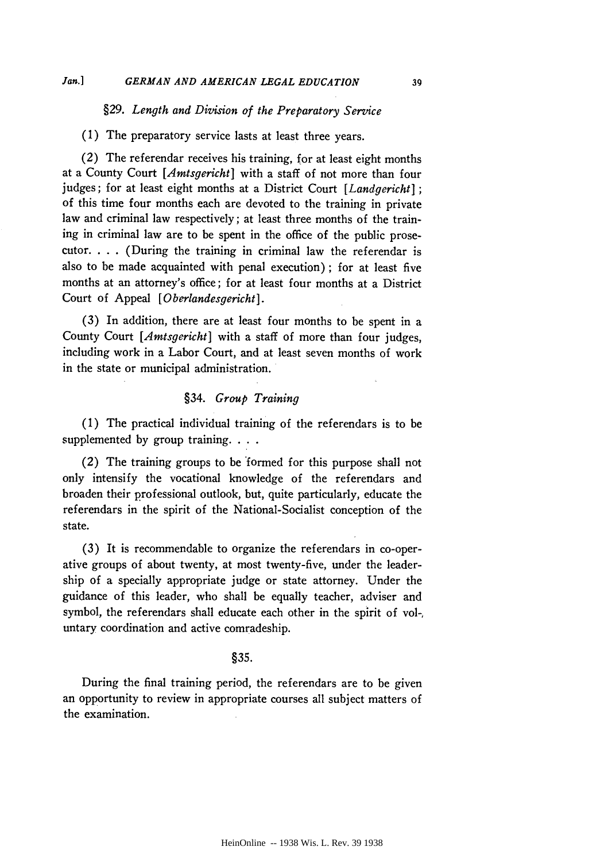# *§29. Length and Division of the Preparatory Service*

(1) The preparatory service lasts at least three years.

(2) The referendar receives his training, for at least eight months at a County Court *[Amtsgericht]* with a staff of not more than four judges; for at least eight months at a District Court *[Landgericht] ;* of this time four months each are devoted to the training in private law and criminal law respectively; at least three months of the training in criminal law are to be spent in the office of the public prosecutor. . **.** . (During the training in criminal law the referendar is also to be made acquainted with penal execution); for at least five months at an attorney's office; for at least four months at a District Court of Appeal *[Oberlandesgericht].*

(3) In addition, there are at least four months to be spent in a County Court *[Amtsgericht]* with a staff of more than four judges, including work in a Labor Court, and at least seven months of work in the state or municipal administration.

# §34. *Group Training*

(1) The practical individual training of the referendars is to be supplemented by group training. . . .

(2) The training groups to be 'formed for this purpose shall not only intensify the vocational knowledge of the referendars and broaden their professional outlook, but, quite particularly, educate the referendars in the spirit of the National-Socialist conception of the state.

(3) It is recommendable to organize the referendars in co-operative groups of about twenty, at most twenty-five, under the leadership of a specially appropriate judge or state attorney. Under the guidance of this leader, who shall be equally teacher, adviser and symbol, the referendars shall educate each other in the spirit of vol-, untary coordination and active comradeship.

# §35.

During the final training period, the referendars are to be given an opportunity to review in appropriate courses all subject matters of the examination.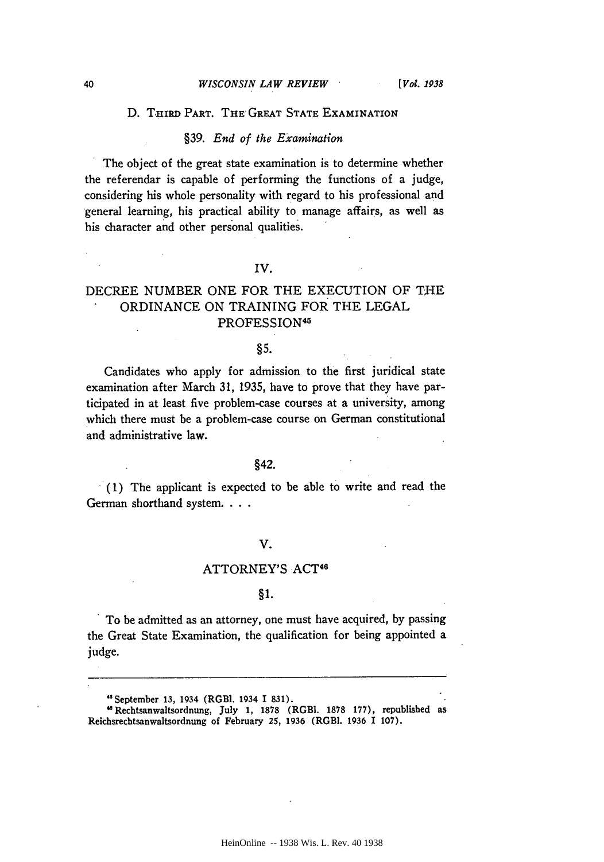#### **D. TiRD PART. THE** GREAT **STATE EXAMINATION**

#### §39. *End of the Examination*

The object of the great state examination is to determine whether the referendar is capable of performing the functions of a judge, considering his whole personality with regard to his professional and general learning, his practical ability to manage affairs, as well as his character and other personal qualities.

**IV.**

# DECREE NUMBER ONE FOR THE EXECUTION OF **THE** ORDINANCE ON TRAINING FOR THE LEGAL PROFESSION<sup>45</sup>

# §5.

Candidates who apply for admission to the first juridical state examination after March 31, 1935, have to prove that they have participated in at least five problem-case courses at a university, among which there must be a problem-case course on German constitutional and administrative law.

# §42.

**(1)** The applicant is expected to be able to write and read the German shorthand system. . . .

# V.

# ATTORNEY'S ACT<sup>46</sup>

#### §1.

To be admitted as an attorney, one must have acquired, **by** passing the Great State Examination, the qualification for being appointed a judge.

<sup>4&</sup>quot; September **13,** 1934 (RGBI. 1934 **I 831).**

**<sup>&#</sup>x27;** Rechtsanwaltsordnung, July **1, 1878** (RGBI. **1878 177),** republished as Reichsrechtsanwaltsordnung of February **25, 1936** (RGBI. **1936 I 107).**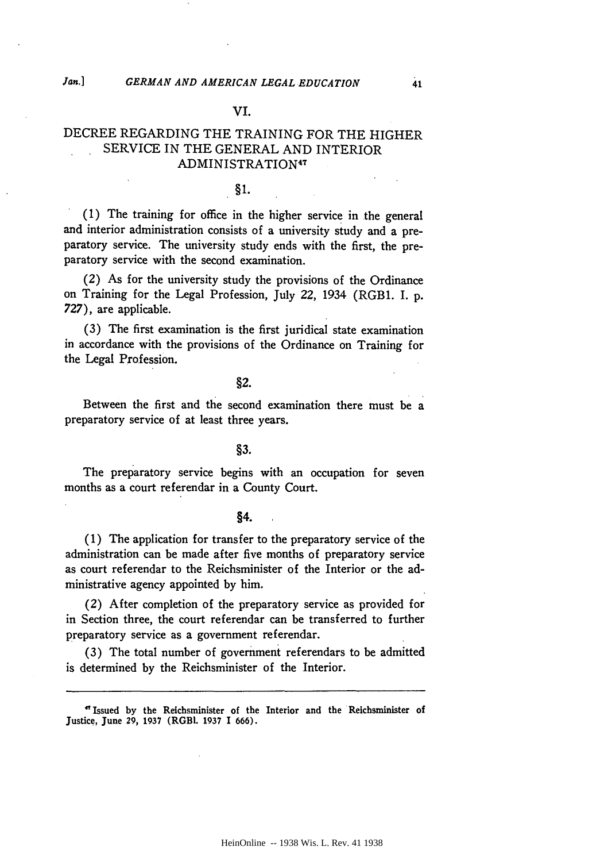# **VI.**

# DECREE REGARDING THE TRAINING FOR THE HIGHER SERVICE IN THE GENERAL AND INTERIOR ADMINISTRATION<sup>47</sup>

# §1.

**(1)** The training for office in the higher service in the general and interior administration consists of a university study and a preparatory service. The university study ends with the first, the preparatory service with the second examination.

(2) As for the university study the provisions of the Ordinance on Training for the Legal Profession, July 22, 1934 (RGB1. I. **p. 727),** are applicable.

**(3)** The first examination is the first juridical state examination in accordance with the provisions of the Ordinance on Training for the Legal Profession.

#### §2.

Between the first and the second examination there must be a preparatory service of at least three years.

#### **§3.**

The preparatory service begins with an occupation for seven months as a court referendar in a County Court.

# §4.

**(1)** The application for transfer to the preparatory service of the administration can be made after five months of preparatory service as court referendar to the Reichsminister of the Interior or the administrative agency appointed **by** him.

(2) After completion of the preparatory service as provided for in Section three, the court referendar can be transferred to further preparatory service as a government referendar.

**(3)** The total number of government referendars to be admitted is determined **by** the Reichsminister of the Interior.

**'"** Issued **by** the Reichsminister of the Interior and the Reichsminister **of** Justice, June **29, 1937** (RGBI. **1937** I **666).**